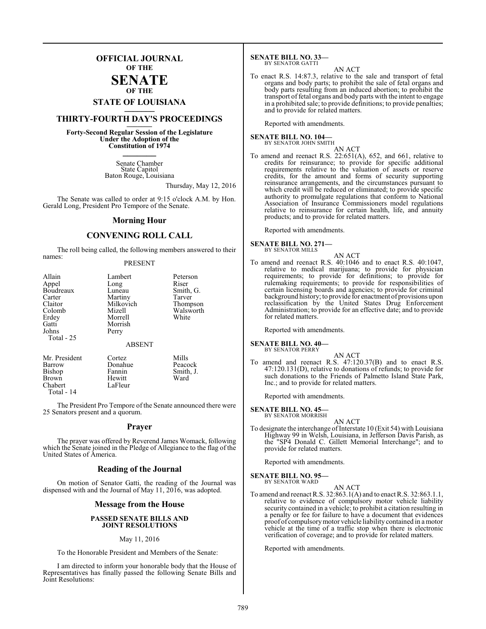## **OFFICIAL JOURNAL OF THE**

#### **SENATE OF THE**

# **STATE OF LOUISIANA \_\_\_\_\_\_\_**

## **THIRTY-FOURTH DAY'S PROCEEDINGS \_\_\_\_\_\_\_**

**Forty-Second Regular Session of the Legislature Under the Adoption of the Constitution of 1974 \_\_\_\_\_\_\_**

> Senate Chamber State Capitol Baton Rouge, Louisiana

> > Thursday, May 12, 2016

The Senate was called to order at 9:15 o'clock A.M. by Hon. Gerald Long, President Pro Tempore of the Senate.

#### **Morning Hour**

## **CONVENING ROLL CALL**

The roll being called, the following members answered to their names:

#### PRESENT

| Allain                                  | Lambert                                      | Peterson  |
|-----------------------------------------|----------------------------------------------|-----------|
| Appel                                   | Long                                         | Riser     |
| Boudreaux                               | Luneau                                       | Smith, G. |
| Carter                                  | Martiny                                      | Tarver    |
| Claitor                                 | Milkovich                                    | Thompson  |
| Colomb                                  | Mizell                                       | Walsworth |
| Erdey<br>Gatti<br>Johns<br>Total - $25$ | Morrell<br>Morrish<br>Perry<br><b>ABSENT</b> | White     |
| Mr. President                           | Cortez                                       | Mills     |
| Barrow                                  | Donahue                                      | Peacock   |
| Bishop                                  | Fannin                                       | Smith, J. |
| Brown                                   | Hewitt                                       | Ward      |

Chabert LaFleur

Total - 14

The President Pro Tempore of the Senate announced there were 25 Senators present and a quorum.

#### **Prayer**

The prayer was offered by Reverend James Womack, following which the Senate joined in the Pledge of Allegiance to the flag of the United States of America.

#### **Reading of the Journal**

On motion of Senator Gatti, the reading of the Journal was dispensed with and the Journal of May 11, 2016, was adopted.

#### **Message from the House**

#### **PASSED SENATE BILLS AND JOINT RESOLUTIONS**

#### May 11, 2016

To the Honorable President and Members of the Senate:

I am directed to inform your honorable body that the House of Representatives has finally passed the following Senate Bills and Joint Resolutions:

#### **SENATE BILL NO. 33—** BY SENATOR GATTI

AN ACT

To enact R.S. 14:87.3, relative to the sale and transport of fetal organs and body parts; to prohibit the sale of fetal organs and body parts resulting from an induced abortion; to prohibit the transport of fetal organs and body parts with the intent to engage in a prohibited sale; to provide definitions; to provide penalties; and to provide for related matters.

Reported with amendments.

## **SENATE BILL NO. 104—**<br>BY SENATOR JOHN SMITH

AN ACT

To amend and reenact R.S. 22:651(A), 652, and 661, relative to credits for reinsurance; to provide for specific additional requirements relative to the valuation of assets or reserve credits, for the amount and forms of security supporting reinsurance arrangements, and the circumstances pursuant to which credit will be reduced or eliminated; to provide specific authority to promulgate regulations that conform to National Association of Insurance Commissioners model regulations relative to reinsurance for certain health, life, and annuity products; and to provide for related matters.

Reported with amendments.

#### **SENATE BILL NO. 271—** BY SENATOR MILLS

- AN ACT
- To amend and reenact R.S. 40:1046 and to enact R.S. 40:1047, relative to medical marijuana; to provide for physician requirements; to provide for definitions; to provide for rulemaking requirements; to provide for responsibilities of certain licensing boards and agencies; to provide for criminal background history; to provide for enactment of provisions upon reclassification by the United States Drug Enforcement Administration; to provide for an effective date; and to provide for related matters.

Reported with amendments.

#### **SENATE BILL NO. 40—**

BY SENATOR PERRY

AN ACT To amend and reenact R.S. 47:120.37(B) and to enact R.S. 47:120.131(D), relative to donations of refunds; to provide for such donations to the Friends of Palmetto Island State Park, Inc.; and to provide for related matters.

Reported with amendments.

#### **SENATE BILL NO. 45—** BY SENATOR MORRISH

AN ACT

To designate the interchange of Interstate 10 (Exit 54) with Louisiana Highway 99 in Welsh, Louisiana, in Jefferson Davis Parish, as the "SP4 Donald C. Gillett Memorial Interchange"; and to provide for related matters.

Reported with amendments.

#### **SENATE BILL NO. 95—**

BY SENATOR WARD

AN ACT To amend and reenact R.S. 32:863.1(A) and to enact R.S. 32:863.1.1, relative to evidence of compulsory motor vehicle liability security contained in a vehicle; to prohibit a citation resulting in a penalty or fee for failure to have a document that evidences proof of compulsorymotor vehicle liability contained in a motor vehicle at the time of a traffic stop when there is electronic verification of coverage; and to provide for related matters.

Reported with amendments.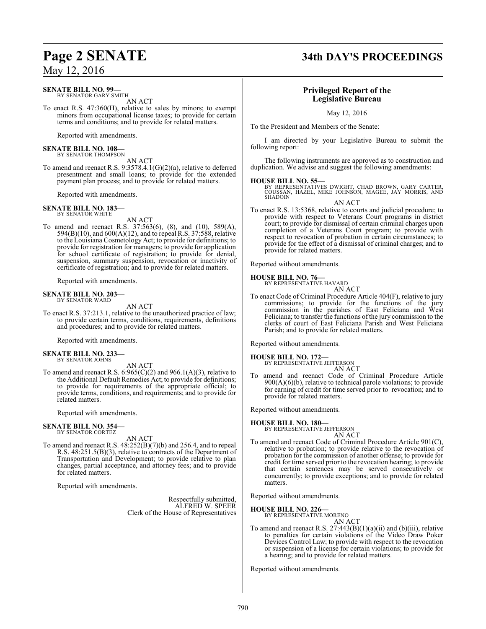## **SENATE BILL NO. 99—**

BY SENATOR GARY SMITH AN ACT

To enact R.S. 47:360(H), relative to sales by minors; to exempt minors from occupational license taxes; to provide for certain terms and conditions; and to provide for related matters.

Reported with amendments.

#### **SENATE BILL NO. 108—** BY SENATOR THOMPSON

AN ACT

To amend and reenact R.S. 9:3578.4.1(G)(2)(a), relative to deferred presentment and small loans; to provide for the extended payment plan process; and to provide for related matters.

Reported with amendments.

**SENATE BILL NO. 183—** BY SENATOR WHITE

AN ACT

To amend and reenact R.S. 37:563(6), (8), and (10), 589(A), 594(B)(10), and 600(A)(12), and to repeal R.S. 37:588, relative to the Louisiana Cosmetology Act; to provide for definitions; to provide for registration for managers; to provide for application for school certificate of registration; to provide for denial, suspension, summary suspension, revocation or inactivity of certificate of registration; and to provide for related matters.

Reported with amendments.

#### **SENATE BILL NO. 203—** BY SENATOR WARD

AN ACT

To enact R.S. 37:213.1, relative to the unauthorized practice of law; to provide certain terms, conditions, requirements, definitions and procedures; and to provide for related matters.

Reported with amendments.

#### **SENATE BILL NO. 233—** BY SENATOR JOHNS

AN ACT

To amend and reenact R.S.  $6:965(C)(2)$  and  $966.1(A)(3)$ , relative to the Additional Default Remedies Act; to provide for definitions; to provide for requirements of the appropriate official; to provide terms, conditions, and requirements; and to provide for related matters.

Reported with amendments.

## **SENATE BILL NO. 354—** BY SENATOR CORTEZ

AN ACT

To amend and reenact R.S. 48:252(B)(7)(b) and 256.4, and to repeal R.S. 48:251.5(B)(3), relative to contracts of the Department of Transportation and Development; to provide relative to plan changes, partial acceptance, and attorney fees; and to provide for related matters.

Reported with amendments.

Respectfully submitted, ALFRED W. SPEER Clerk of the House of Representatives

## **Page 2 SENATE 34th DAY'S PROCEEDINGS**

## **Privileged Report of the Legislative Bureau**

May 12, 2016

To the President and Members of the Senate:

I am directed by your Legislative Bureau to submit the following report:

The following instruments are approved as to construction and duplication. We advise and suggest the following amendments:

**HOUSE BILL NO. 55—** BY REPRESENTATIVES DWIGHT, CHAD BROWN, GARY CARTER, COUSSAN, HAZEL, MIKE JOHNSON, MAGEE, JAY MORRIS, AND **SHADOIN** 

AN ACT To enact R.S. 13:5368, relative to courts and judicial procedure; to provide with respect to Veterans Court programs in district court; to provide for dismissal of certain criminal charges upon completion of a Veterans Court program; to provide with respect to revocation of probation in certain circumstances; to provide for the effect of a dismissal of criminal charges; and to provide for related matters.

Reported without amendments.

## **HOUSE BILL NO. 76—** BY REPRESENTATIVE HAVARD

AN ACT

To enact Code of Criminal Procedure Article 404(F), relative to jury commissions; to provide for the functions of the jury commission in the parishes of East Feliciana and West Feliciana; to transfer the functions of the jury commission to the clerks of court of East Feliciana Parish and West Feliciana Parish; and to provide for related matters.

Reported without amendments.

#### **HOUSE BILL NO. 172—**

BY REPRESENTATIVE JEFFERSON AN ACT

To amend and reenact Code of Criminal Procedure Article 900(A)(6)(b), relative to technical parole violations; to provide for earning of credit for time served prior to revocation; and to provide for related matters.

Reported without amendments.

## **HOUSE BILL NO. 180—**

BY REPRESENTATIVE JEFFERSON AN ACT

To amend and reenact Code of Criminal Procedure Article 901(C), relative to probation; to provide relative to the revocation of probation for the commission of another offense; to provide for credit for time served prior to the revocation hearing; to provide that certain sentences may be served consecutively or concurrently; to provide exceptions; and to provide for related matters.

Reported without amendments.

#### **HOUSE BILL NO. 226—**

BY REPRESENTATIVE MORENO AN ACT

To amend and reenact R.S.  $27:443(B)(1)(a)(ii)$  and (b)(iii), relative to penalties for certain violations of the Video Draw Poker Devices Control Law; to provide with respect to the revocation or suspension of a license for certain violations; to provide for a hearing; and to provide for related matters.

Reported without amendments.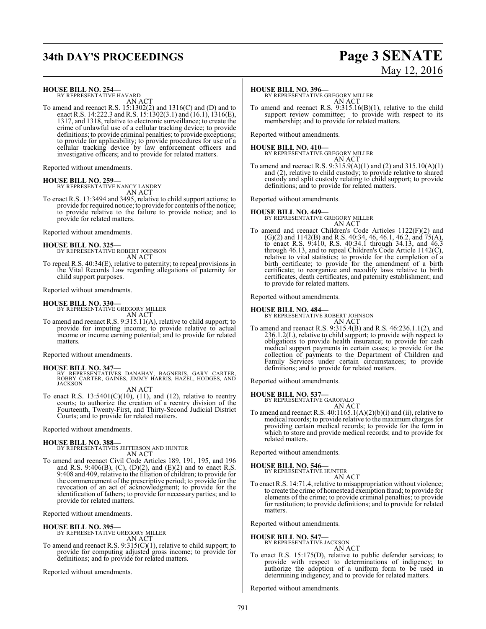# **34th DAY'S PROCEEDINGS Page 3 SENATE**

## **HOUSE BILL NO. 254—**<br>BY REPRESENTATIVE HAVARD

AN ACT

To amend and reenact R.S. 15:1302(2) and 1316(C) and (D) and to enact R.S. 14:222.3 and R.S. 15:1302(3.1) and (16.1), 1316(E), 1317, and 1318, relative to electronic surveillance; to create the crime of unlawful use of a cellular tracking device; to provide definitions; to provide criminal penalties; to provide exceptions; to provide for applicability; to provide procedures for use of a cellular tracking device by law enforcement officers and investigative officers; and to provide for related matters.

Reported without amendments.

# **HOUSE BILL NO. 259-**<br>BY REPRESENTATIVE NANCY LANDRY

AN ACT

To enact R.S. 13:3494 and 3495, relative to child support actions; to provide for required notice; to provide for contents of the notice; to provide relative to the failure to provide notice; and to provide for related matters.

Reported without amendments.

**HOUSE BILL NO. 325—**<br>BY REPRESENTATIVE ROBERT JOHNSON AN ACT

To repeal R.S. 40:34(E), relative to paternity; to repeal provisions in the Vital Records Law regarding allegations of paternity for child support purposes.

Reported without amendments.

**HOUSE BILL NO. 330—** BY REPRESENTATIVE GREGORY MILLER

AN ACT To amend and reenact R.S. 9:315.11(A), relative to child support; to provide for imputing income; to provide relative to actual income or income earning potential; and to provide for related matters.

Reported without amendments.

**HOUSE BILL NO. 347—**<br>BY REPRESENTATIVES DANAHAY, BAGNERIS, GARY CARTER,<br>ROBBY CARTER, GAINES, JIMMY HARRIS, HAZEL, HODGES, AND<br>JACKSON

AN ACT

To enact R.S.  $13:5401(C)(10)$ ,  $(11)$ , and  $(12)$ , relative to reentry courts; to authorize the creation of a reentry division of the Fourteenth, Twenty-First, and Thirty-Second Judicial District Courts; and to provide for related matters.

Reported without amendments.

**HOUSE BILL NO. 388—** BY REPRESENTATIVES JEFFERSON AND HUNTER AN ACT

To amend and reenact Civil Code Articles 189, 191, 195, and 196 and R.S. 9:406(B),  $(C)$ ,  $(D)(2)$ , and  $(E)(2)$  and to enact R.S. 9:408 and 409, relative to the filiation of children; to provide for the commencement of the prescriptive period; to provide for the revocation of an act of acknowledgment; to provide for the identification of fathers; to provide for necessary parties; and to provide for related matters.

Reported without amendments.

**HOUSE BILL NO. 395—** BY REPRESENTATIVE GREGORY MILLER AN ACT

To amend and reenact R.S. 9:315(C)(1), relative to child support; to provide for computing adjusted gross income; to provide for definitions; and to provide for related matters.

Reported without amendments.

# May 12, 2016

**HOUSE BILL NO. 396—** BY REPRESENTATIVE GREGORY MILLER AN ACT

To amend and reenact R.S. 9:315.16(B)(1), relative to the child support review committee; to provide with respect to its membership; and to provide for related matters.

Reported without amendments.

**HOUSE BILL NO. 410—**<br>BY REPRESENTATIVE GREGORY MILLER AN ACT

To amend and reenact R.S. 9:315.9(A)(1) and (2) and 315.10(A)(1) and (2), relative to child custody; to provide relative to shared custody and split custody relating to child support; to provide definitions; and to provide for related matters.

Reported without amendments.

**HOUSE BILL NO. 449—** BY REPRESENTATIVE GREGORY MILLER

AN ACT To amend and reenact Children's Code Articles 1122(F)(2) and  $(G)(2)$  and 1142(B) and R.S. 40:34, 46, 46.1, 46.2, and 75(A), to enact R.S. 9:410, R.S. 40:34.1 through 34.13, and 46.3 through 46.13, and to repeal Children's Code Article 1142(C), relative to vital statistics; to provide for the completion of a birth certificate; to provide for the amendment of a birth certificate; to reorganize and recodify laws relative to birth certificates, death certificates, and paternity establishment; and to provide for related matters.

Reported without amendments.

**HOUSE BILL NO. 484—** BY REPRESENTATIVE ROBERT JOHNSON AN ACT

To amend and reenact R.S. 9:315.4(B) and R.S. 46:236.1.1(2), and 236.1.2(L), relative to child support; to provide with respect to obligations to provide health insurance; to provide for cash medical support payments in certain cases; to provide for the collection of payments to the Department of Children and Family Services under certain circumstances; to provide definitions; and to provide for related matters.

Reported without amendments.

**HOUSE BILL NO. 537-**<br>BY REPRESENTATIVE GAROFALO AN ACT

To amend and reenact R.S.  $40:1165.1(A)(2)(b)(i)$  and (ii), relative to medical records; to provide relative to the maximumcharges for providing certain medical records; to provide for the form in which to store and provide medical records; and to provide for related matters.

Reported without amendments.

**HOUSE BILL NO. 546-**<br>BY REPRESENTATIVE HUNTER

AN ACT To enact R.S. 14:71.4, relative to misappropriation without violence; to create the crime of homestead exemption fraud; to provide for elements of the crime; to provide criminal penalties; to provide for restitution; to provide definitions; and to provide for related matters.

Reported without amendments.

**HOUSE BILL NO. 547-**<br>BY REPRESENTATIVE JACKSON

- AN ACT
- To enact R.S. 15:175(D), relative to public defender services; to provide with respect to determinations of indigency; to authorize the adoption of a uniform form to be used in determining indigency; and to provide for related matters.

Reported without amendments.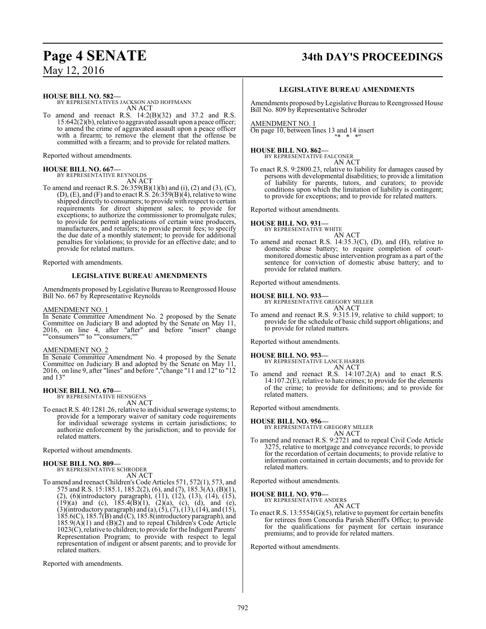# **Page 4 SENATE 34th DAY'S PROCEEDINGS**

May 12, 2016

**HOUSE BILL NO. 582—**

BY REPRESENTATIVES JACKSON AND HOFFMANN AN ACT

To amend and reenact R.S.  $14:2(B)(32)$  and  $37.2$  and R.S. 15:642(2)(b), relative to aggravated assault upon a peace officer; to amend the crime of aggravated assault upon a peace officer with a firearm; to remove the element that the offense be committed with a firearm; and to provide for related matters.

Reported without amendments.

**HOUSE BILL NO. 667—** BY REPRESENTATIVE REYNOLDS AN ACT

To amend and reenact R.S.  $26:359(B)(1)(h)$  and  $(i)$ ,  $(2)$  and  $(3)$ ,  $(C)$ ,  $(D)$ ,  $(E)$ , and  $(F)$  and to enact R.S.  $26:359(B)(4)$ , relative to wine shipped directly to consumers; to provide with respect to certain requirements for direct shipment sales; to provide for exceptions; to authorize the commissioner to promulgate rules; to provide for permit applications of certain wine producers,

manufacturers, and retailers; to provide permit fees; to specify the due date of a monthly statement; to provide for additional penalties for violations; to provide for an effective date; and to provide for related matters.

Reported with amendments.

#### **LEGISLATIVE BUREAU AMENDMENTS**

Amendments proposed by Legislative Bureau to Reengrossed House Bill No. 667 by Representative Reynolds

#### AMENDMENT NO. 1

In Senate Committee Amendment No. 2 proposed by the Senate Committee on Judiciary B and adopted by the Senate on May 11, 2016, on line 4, after "after" and before "insert" change ""consumers"" to ""consumers;""

#### AMENDMENT NO. 2

In Senate Committee Amendment No. 4 proposed by the Senate Committee on Judiciary B and adopted by the Senate on May 11, 2016, on line 9, after "lines" and before ","change "11 and 12" to "12 and 13"

## **HOUSE BILL NO. 670—** BY REPRESENTATIVE HENSGENS

AN ACT

To enact R.S. 40:1281.26, relative to individual sewerage systems; to provide for a temporary waiver of sanitary code requirements for individual sewerage systems in certain jurisdictions; to authorize enforcement by the jurisdiction; and to provide for related matters.

Reported without amendments.

#### **HOUSE BILL NO. 809—**

BY REPRESENTATIVE SCHRODER AN ACT

To amend and reenact Children's Code Articles 571, 572(1), 573, and 575 and R.S. 15:185.1, 185.2(2), (6), and (7), 185.3(A), (B)(1), (2), (6)(introductory paragraph), (11), (12), (13), (14), (15),  $(19)(a)$  and (c),  $185.4(B)(1)$ ,  $(2)(a)$ , (c), (d), and (e),  $(3)$ (introductory paragraph) and  $(a)$ ,  $(5)$ ,  $(7)$ ,  $(13)$ ,  $(14)$ , and  $(15)$ , 185.6(C), 185.7(B) and (C), 185.8(introductory paragraph), and 185.9(A)(1) and (B)(2) and to repeal Children's Code Article 1023(C), relative to children; to provide for the Indigent Parents' Representation Program; to provide with respect to legal representation of indigent or absent parents; and to provide for related matters.

Reported with amendments.

#### **LEGISLATIVE BUREAU AMENDMENTS**

Amendments proposed byLegislative Bureau to Reengrossed House Bill No. 809 by Representative Schroder

AMENDMENT NO. 1 On page 10, between lines 13 and 14 insert "\* \* \*"

#### **HOUSE BILL NO. 862—**

BY REPRESENTATIVE FALCONER AN ACT

To enact R.S. 9:2800.23, relative to liability for damages caused by persons with developmental disabilities; to provide a limitation of liability for parents, tutors, and curators; to provide conditions upon which the limitation of liability is contingent; to provide for exceptions; and to provide for related matters.

Reported without amendments.

#### **HOUSE BILL NO. 931—**

BY REPRESENTATIVE WHITE AN ACT

To amend and reenact R.S. 14:35.3(C), (D), and (H), relative to domestic abuse battery; to require completion of courtmonitored domestic abuse intervention program as a part of the sentence for conviction of domestic abuse battery; and to provide for related matters.

Reported without amendments.

#### **HOUSE BILL NO. 933—**

BY REPRESENTATIVE GREGORY MILLER

AN ACT To amend and reenact R.S. 9:315.19, relative to child support; to provide for the schedule of basic child support obligations; and to provide for related matters.

Reported without amendments.

- **HOUSE BILL NO. 953—** BY REPRESENTATIVE LANCE HARRIS
- AN ACT To amend and reenact R.S. 14:107.2(A) and to enact R.S. 14:107.2(E), relative to hate crimes; to provide for the elements of the crime; to provide for definitions; and to provide for related matters.

Reported without amendments.

#### **HOUSE BILL NO. 956—**

BY REPRESENTATIVE GREGORY MILLER AN ACT

To amend and reenact R.S. 9:2721 and to repeal Civil Code Article 3275, relative to mortgage and conveyance records; to provide for the recordation of certain documents; to provide relative to information contained in certain documents; and to provide for related matters.

Reported without amendments.

#### **HOUSE BILL NO. 970—**

BY REPRESENTATIVE ANDERS AN ACT

To enact R.S. 13:5554(G)(5), relative to payment for certain benefits for retirees from Concordia Parish Sheriff's Office; to provide for the qualifications for payment for certain insurance premiums; and to provide for related matters.

Reported without amendments.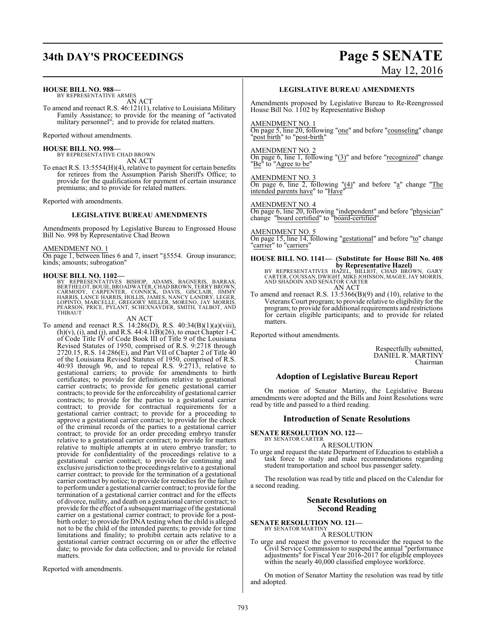# **34th DAY'S PROCEEDINGS Page 5 SENATE**

#### **HOUSE BILL NO. 988—**

BY REPRESENTATIVE ARMES AN ACT

To amend and reenact R.S. 46:121(1), relative to Louisiana Military Family Assistance; to provide for the meaning of "activated military personnel"; and to provide for related matters.

Reported without amendments.

#### **HOUSE BILL NO. 998—**

BY REPRESENTATIVE CHAD BROWN AN ACT

To enact R.S. 13:5554(H)(4), relative to payment for certain benefits for retirees from the Assumption Parish Sheriff's Office; to provide for the qualifications for payment of certain insurance premiums; and to provide for related matters.

Reported with amendments.

#### **LEGISLATIVE BUREAU AMENDMENTS**

Amendments proposed by Legislative Bureau to Engrossed House Bill No. 998 by Representative Chad Brown

#### AMENDMENT NO. 1

On page 1, between lines 6 and 7, insert "§5554. Group insurance; kinds; amounts; subrogation"

#### **HOUSE BILL NO. 1102—**

BY REPRESENTATIVES BISHOP, ADAMS, BAGNERIS, BARRAS,<br>BERTHELOT,BOUIE,BROADWATER,CHADBROWN,TERRYBROWN,<br>CARMODY, CARPENTER, CONNICK, DAVIS, GISCLAIR, JIMMY<br>HARRIS,LANCE HARRIS,HOLLIS,JAMES,NANCY LANDRY,LEGER,<br>LOPINTO, MARCELL THIBAUT

#### AN ACT

To amend and reenact R.S. 14:286(D), R.S. 40:34(B)(1)(a)(viii),  $(h)(v)$ , (i), and (j), and R.S. 44:4.1(B)(26), to enact Chapter 1-C of Code Title IV of Code Book III of Title 9 of the Louisiana Revised Statutes of 1950, comprised of R.S. 9:2718 through 2720.15, R.S. 14:286(E), and Part VII of Chapter 2 of Title 40 of the Louisiana Revised Statutes of 1950, comprised of R.S. 40:93 through 96, and to repeal R.S. 9:2713, relative to gestational carriers; to provide for amendments to birth certificates; to provide for definitions relative to gestational carrier contracts; to provide for genetic gestational carrier contracts; to provide for the enforceability of gestational carrier contracts; to provide for the parties to a gestational carrier contract; to provide for contractual requirements for a gestational carrier contract; to provide for a proceeding to approve a gestational carrier contract; to provide for the check of the criminal records of the parties to a gestational carrier contract; to provide for an order preceding embryo transfer relative to a gestational carrier contract; to provide for matters relative to multiple attempts at in utero embryo transfer; to provide for confidentiality of the proceedings relative to a gestational carrier contract; to provide for continuing and exclusive jurisdiction to the proceedings relative to a gestational carrier contract; to provide for the termination of a gestational carrier contract by notice; to provide for remedies for the failure to perform under a gestational carrier contract; to provide for the termination of a gestational carrier contract and for the effects of divorce, nullity, and death on a gestational carrier contract; to provide for the effect of a subsequent marriage ofthe gestational carrier on a gestational carrier contract; to provide for a postbirth order; to provide for DNA testing when the child is alleged not to be the child of the intended parents; to provide for time limitations and finality; to prohibit certain acts relative to a gestational carrier contract occurring on or after the effective date; to provide for data collection; and to provide for related matters.

Reported with amendments.

# May 12, 2016

#### **LEGISLATIVE BUREAU AMENDMENTS**

Amendments proposed by Legislative Bureau to Re-Reengrossed House Bill No. 1102 by Representative Bishop

#### AMENDMENT NO. 1

On page 5, line 20, following "one" and before "counseling" change "post birth" to "post-birth"

#### AMENDMENT NO. 2

On page 6, line 1, following "(3)" and before "recognized" change "Be<sup>"</sup> to "Agree to be"

AMENDMENT NO. 3

On page 6, line 2, following "(4)" and before "a" change "The intended parents have" to "Have"

#### AMENDMENT NO. 4

On page 6, line 20, following "independent" and before "physician" change "board certified" to "board-certified"

#### AMENDMENT NO. 5

On page 15, line 14, following "gestational" and before "to" change "carrier" to "carriers"

# **HOUSE BILL NO. 1141— (Substitute for House Bill No. 408**

**by Representative Hazel)**<br>BY REPRESENTATIVES HAZEL, BILLIOT, CHAD BROWN, GARY<br>CARTER, COUSSAN, DWIGHT, MIKE JOHNSON, MAGEE, JAY MORRIS,<br>AND SHADOIN AND SENATOR CARTER<br>AN ACT

To amend and reenact R.S. 13:5366(B)(9) and (10), relative to the Veterans Court program; to provide relative to eligibility for the program; to provide for additional requirements and restrictions for certain eligible participants; and to provide for related matters.

Reported without amendments.

Respectfully submitted, DANIEL R. MARTINY Chairman

#### **Adoption of Legislative Bureau Report**

On motion of Senator Martiny, the Legislative Bureau amendments were adopted and the Bills and Joint Resolutions were read by title and passed to a third reading.

#### **Introduction of Senate Resolutions**

**SENATE RESOLUTION NO. 122—** BY SENATOR CARTER

#### A RESOLUTION

To urge and request the state Department of Education to establish a task force to study and make recommendations regarding student transportation and school bus passenger safety.

The resolution was read by title and placed on the Calendar for a second reading.

#### **Senate Resolutions on Second Reading**

#### **SENATE RESOLUTION NO. 121—** BY SENATOR MARTINY

A RESOLUTION

To urge and request the governor to reconsider the request to the Civil Service Commission to suspend the annual "performance adjustments" for Fiscal Year 2016-2017 for eligible employees within the nearly 40,000 classified employee workforce.

On motion of Senator Martiny the resolution was read by title and adopted.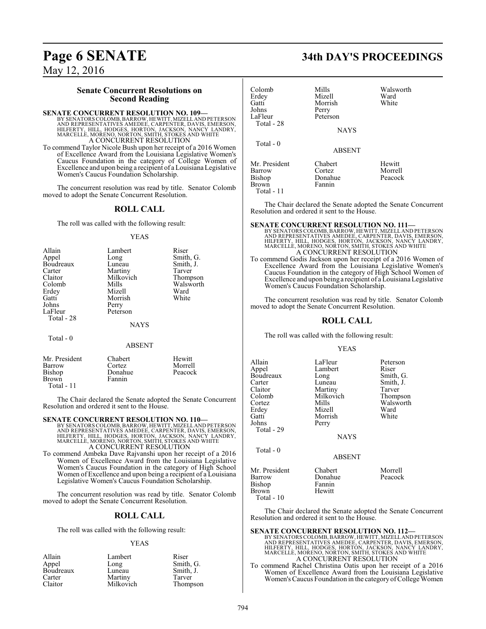#### **Senate Concurrent Resolutions on Second Reading**

#### **SENATE CONCURRENT RESOLUTION NO. 109—**

BY SENATORS COLOMB, BARROW, HEWITT, MIZELL AND PETERSON<br>AND REPRESENTATIVES AMEDEE, CARPENTER, DAVIS, EMERSON,<br>HILFERTY, HILL, HODGES, HORTON, JACKSON, NANCY LANDRY,<br>MARCELLE, MORENO, NORTON, SMITH, STOKES AND WHITE A CONCURRENT RESOLUTION

To commend Taylor Nicole Bush upon her receipt of a 2016 Women of Excellence Award from the Louisiana Legislative Women's Caucus Foundation in the category of College Women of Excellence and upon being a recipient of a Louisiana Legislative Women's Caucus Foundation Scholarship.

The concurrent resolution was read by title. Senator Colomb moved to adopt the Senate Concurrent Resolution.

#### **ROLL CALL**

The roll was called with the following result:

YEAS

| Allain      | Lambert     | Riser     |
|-------------|-------------|-----------|
| Appel       | Long        | Smith, G. |
| Boudreaux   | Luneau      | Smith, J. |
| Carter      | Martiny     | Tarver    |
| Claitor     | Milkovich   | Thompson  |
| Colomb      | Mills       | Walsworth |
| Erdey       | Mizell      | Ward      |
| Gatti       | Morrish     | White     |
| Johns       | Perry       |           |
| LaFleur     | Peterson    |           |
| Total - 28  |             |           |
|             | <b>NAYS</b> |           |
| $Total - 0$ |             |           |

#### ABSENT

| Mr. President | Chabert | Hewitt  |
|---------------|---------|---------|
| Barrow        | Cortez  | Morrell |
| Bishop        | Donahue | Peacock |
| Brown         | Fannin  |         |
| Total - $11$  |         |         |

The Chair declared the Senate adopted the Senate Concurrent Resolution and ordered it sent to the House.

#### **SENATE CONCURRENT RESOLUTION NO. 110—**

BY SENATORS COLOMB, BARROW, HEWITT, MIZELL AND PETERSON<br>AND REPRESENTATIVES AMEDEE, CARPENTER, DAVIS, EMERSON,<br>HILFERTY, HILL, HODGES, HORTON, JACKSON, NANCY LANDRY,<br>MARCELLE, MORENO, NORTON, SMITH, STOKES AND WHITE<br>A CONC

To commend Ambeka Dave Rajvanshi upon her receipt of a 2016 Women of Excellence Award from the Louisiana Legislative Women's Caucus Foundation in the category of High School Women of Excellence and upon being a recipient of a Louisiana Legislative Women's Caucus Foundation Scholarship.

The concurrent resolution was read by title. Senator Colomb moved to adopt the Senate Concurrent Resolution.

#### **ROLL CALL**

The roll was called with the following result:

#### YEAS

| Allain    | Lambert   | Riser     |
|-----------|-----------|-----------|
| Appel     | Long      | Smith, G. |
| Boudreaux | Luneau    | Smith, J. |
| Carter    | Martiny   | Tarver    |
| Claitor   | Milkovich | Thompson  |

## **Page 6 SENATE 34th DAY'S PROCEEDINGS**

| Colomb<br>Erdey<br>Gatti<br>Johns<br>LaFleur<br>Total - 28             | Mills<br>Mizell<br>Morrish<br>Perry<br>Peterson<br><b>NAYS</b> | Walsworth<br>Ward<br>White   |
|------------------------------------------------------------------------|----------------------------------------------------------------|------------------------------|
| Total $-0$                                                             | <b>ABSENT</b>                                                  |                              |
| Mr. President<br><b>Barrow</b><br><b>Bishop</b><br>Brown<br>Total - 11 | Chabert<br>Cortez<br>Donahue<br>Fannin                         | Hewitt<br>Morrell<br>Peacock |

The Chair declared the Senate adopted the Senate Concurrent Resolution and ordered it sent to the House.

**SENATE CONCURRENT RESOLUTION NO. 111—**<br>BY SENATORS COLOMB, BARROW, HEWITT, MIZELL AND REPRESON AND REPRESON<br>AND REPRESENTATIVES AMEDEE, CARPENTER, DAVIS, EMERSON,<br>HILFERTY, HILL, HODGES, HORTON, JACKSON, NANCY LANDRY,<br>MAR

To commend Godis Jackson upon her receipt of a 2016 Women of Excellence Award from the Louisiana Legislative Women's Caucus Foundation in the category of High School Women of Excellence and upon being a recipient of a Louisiana Legislative Women's Caucus Foundation Scholarship.

The concurrent resolution was read by title. Senator Colomb moved to adopt the Senate Concurrent Resolution.

#### **ROLL CALL**

The roll was called with the following result:

#### YEAS

| Allain<br>Appel<br>Boudreaux<br>Carter<br>Claitor<br>Colomb<br>Cortez<br>Erdey<br>Gatti<br>Johns<br>Total - 29 | LaFleur<br>Lambert<br>Long<br>Luneau<br>Martiny<br>Milkovich<br>Mills<br>Mizell<br>Morrish<br>Perry<br><b>NAYS</b> | Peterson<br>Riser<br>Smith, G.<br>Smith, J.<br>Tarver<br>Thompson<br>Walsworth<br>Ward<br>White |
|----------------------------------------------------------------------------------------------------------------|--------------------------------------------------------------------------------------------------------------------|-------------------------------------------------------------------------------------------------|
| Total $-0$                                                                                                     | <b>ABSENT</b>                                                                                                      |                                                                                                 |
| Mr. President<br>Barrow<br>Bishop                                                                              | Chabert<br>Donahue<br>Fannin                                                                                       | Morrell<br>Peacock                                                                              |

Brown Hewitt Total - 10

The Chair declared the Senate adopted the Senate Concurrent Resolution and ordered it sent to the House.

**SENATE CONCURRENT RESOLUTION NO. 112—**<br>BY SENATORS COLOMB, BARROW, HEWITT, MIZELL AND PETERSON<br>AND REPRESENTATIVES AMEDEE, CARPENTER, DAVIS, EMERSON,<br>HILFERTY, HILL, HODGES, HORTON, JACKSON, NANCY LANDRY,<br>MARCELLE, MORENO

To commend Rachel Christina Oatis upon her receipt of a 2016 Women of Excellence Award from the Louisiana Legislative Women's Caucus Foundation in the category of College Women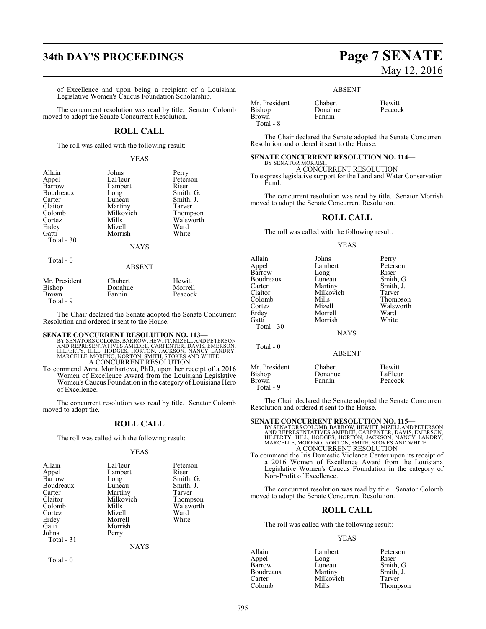# **34th DAY'S PROCEEDINGS Page 7 SENATE**

of Excellence and upon being a recipient of a Louisiana Legislative Women's Caucus Foundation Scholarship.

The concurrent resolution was read by title. Senator Colomb moved to adopt the Senate Concurrent Resolution.

## **ROLL CALL**

The roll was called with the following result:

#### YEAS

| Allain     | Johns         | Perry     |
|------------|---------------|-----------|
| Appel      | LaFleur       | Peterson  |
| Barrow     | Lambert       | Riser     |
| Boudreaux  | Long          | Smith, G. |
| Carter     | Luneau        | Smith, J. |
| Claitor    | Martiny       | Tarver    |
| Colomb     | Milkovich     | Thompson  |
| Cortez     | Mills         | Walsworth |
| Erdey      | Mizell        | Ward      |
| Gatti      | Morrish       | White     |
| Total - 30 |               |           |
|            | <b>NAYS</b>   |           |
| Total - 0  |               |           |
|            | <b>ABSENT</b> |           |

| Mr. President | Chabert | Hewitt  |
|---------------|---------|---------|
| Bishop        | Donahue | Morrell |
| Brown         | Fannin  | Peacock |
| Total - 9     |         |         |

The Chair declared the Senate adopted the Senate Concurrent Resolution and ordered it sent to the House.

#### **SENATE CONCURRENT RESOLUTION NO. 113—**

BY SENATORS COLOMB, BARROW, HEWITT, MIZELL AND PETERSON<br>AND REPRESENTATIVES AMEDEE, CARPENTER, DAVIS, EMERSON,<br>HILFERTY, HILL, HODGES, HORTON, JACKSON, NANCY LANDRY,<br>MARCELLE, MORENO, NORTON, SMITH, STOKES AND WHITE<br>A CONC

To commend Anna Monhartova, PhD, upon her receipt of a 2016 Women of Excellence Award from the Louisiana Legislative Women's Caucus Foundation in the category of Louisiana Hero of Excellence.

The concurrent resolution was read by title. Senator Colomb moved to adopt the.

#### **ROLL CALL**

The roll was called with the following result:

#### YEAS

| Allain<br>Appel<br>Barrow<br>Boudreaux<br>Carter<br>Claitor<br>Colomb<br>Cortez<br>Erdey<br>Gatti<br>Johns | LaFleur<br>Lambert<br>Long<br>Luneau<br>Martiny<br>Milkovich<br>Mills<br>Mizell<br>Morrell<br>Morrish<br>Perry | Peterson<br>Riser<br>Smith, G.<br>Smith, J.<br>Tarver<br>Thompson<br>Walsworth<br>Ward<br>White |
|------------------------------------------------------------------------------------------------------------|----------------------------------------------------------------------------------------------------------------|-------------------------------------------------------------------------------------------------|
| Total - 31                                                                                                 |                                                                                                                |                                                                                                 |

NAYS

Total - 0

# May 12, 2016

#### ABSENT

| Mr. President | Chabert | Hewitt  |
|---------------|---------|---------|
| Bishop        | Donahue | Peacock |
| <b>Brown</b>  | Fannin  |         |
| Total - 8     |         |         |

The Chair declared the Senate adopted the Senate Concurrent Resolution and ordered it sent to the House.

#### **SENATE CONCURRENT RESOLUTION NO. 114—** BY SENATOR MORRISH

A CONCURRENT RESOLUTION To express legislative support for the Land and Water Conservation Fund.

The concurrent resolution was read by title. Senator Morrish moved to adopt the Senate Concurrent Resolution.

#### **ROLL CALL**

The roll was called with the following result:

#### YEAS

| Allain<br>Appel<br>Barrow<br>Boudreaux<br>Carter<br>Claitor<br>Colomb<br>Cortez<br>Erdey<br>Gatti<br>Total - 30 | Johns<br>Lambert<br>Long<br>Luneau<br>Martiny<br>Milkovich<br>Mills<br>Mizell<br>Morrell<br>Morrish<br><b>NAYS</b> | Perry<br>Peterson<br>Riser<br>Smith, G.<br>Smith, J.<br>Tarver<br>Thompson<br>Walsworth<br>Ward<br>White |
|-----------------------------------------------------------------------------------------------------------------|--------------------------------------------------------------------------------------------------------------------|----------------------------------------------------------------------------------------------------------|
| Total $-0$                                                                                                      | <b>ABSENT</b>                                                                                                      |                                                                                                          |
| Mr. President<br>Bishop<br>Brown<br>Total - 9                                                                   | Chabert<br>Donahue<br>Fannin                                                                                       | Hewitt<br>LaFleur<br>Peacock                                                                             |

The Chair declared the Senate adopted the Senate Concurrent Resolution and ordered it sent to the House.

#### **SENATE CONCURRENT RESOLUTION NO. 115—**

BY SENATORS COLOMB, BARROW, HEWITT, MIZELL AND PETERSON<br>AND REPRESENTATIVES AMEDEE, CARPENTER, DAVIS, EMERSON,<br>HILFERTY, HILL, HODGES, HORTON, JACKSON, NANCY LANDRY,<br>MARCELLE, MORENO, NORTON, SMITH, STOKES AND WHITE A CONCURRENT RESOLUTION

To commend the Iris Domestic Violence Center upon its receipt of a 2016 Women of Excellence Award from the Louisiana Legislative Women's Caucus Foundation in the category of Non-Profit of Excellence.

The concurrent resolution was read by title. Senator Colomb moved to adopt the Senate Concurrent Resolution.

#### **ROLL CALL**

The roll was called with the following result:

#### YEAS

Appel Long<br>Barrow Luneau Carter Milkovich<br>Colomb Mills

Allain Lambert Peterson<br>
Appel Long Riser Luneau Smith, G.<br>Martiny Smith, J. Boudreaux Martiny Smith,<br>Carter Milkovich Tarver Thompson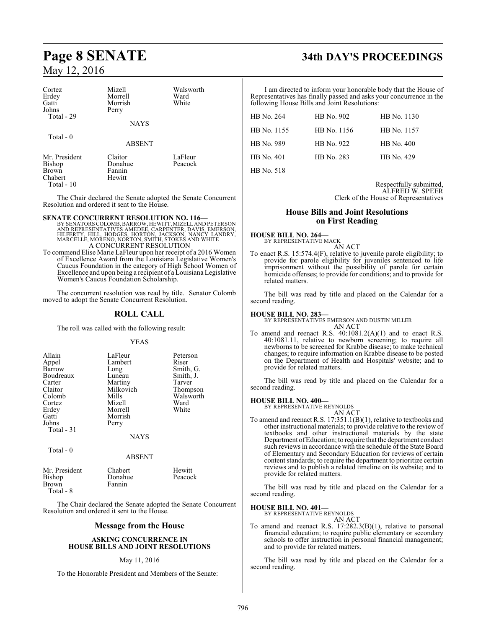| Cortez<br>Erdey<br>Gatti<br>Johns<br>Total - 29 | Mizell<br>Morrell<br>Morrish<br>Perry<br><b>NAYS</b> | Walsworth<br>Ward<br>White |
|-------------------------------------------------|------------------------------------------------------|----------------------------|
| Total - 0                                       | <b>ABSENT</b>                                        |                            |
| Mr. President<br><b>Bishop</b><br><b>Brown</b>  | Claitor<br>Donahue<br>Fannin                         | LaFleur<br>Peacock         |

Chabert Hewitt Total - 10

The Chair declared the Senate adopted the Senate Concurrent Resolution and ordered it sent to the House.

#### **SENATE CONCURRENT RESOLUTION NO. 116—**

- BY SENATORS COLOMB, BARROW, HEWITT, MIZELL AND PETERSON<br>AND REPRESENTATIVES AMEDEE, CARPENTER, DAVIS, EMERSON,<br>HILFERTY, HILL, HODGES, HORTON, JACKSON, NANCY LANDRY,<br>MARCELLE, MORENO, NORTON, SMITH, STOKES AND WHITE<br>A CONC
- To commend Elise Marie LaFleur upon her receipt of a 2016 Women of Excellence Award from the Louisiana Legislative Women's Caucus Foundation in the category of High School Women of Excellence and upon being a recipient of a Louisiana Legislative Women's Caucus Foundation Scholarship.

The concurrent resolution was read by title. Senator Colomb moved to adopt the Senate Concurrent Resolution.

### **ROLL CALL**

The roll was called with the following result:

YEAS

| Allain      | LaFleur     | Peterson  |
|-------------|-------------|-----------|
| Appel       | Lambert     | Riser     |
| Barrow      | Long        | Smith, G. |
| Boudreaux   | Luneau      | Smith, J. |
| Carter      | Martiny     | Tarver    |
| Claitor     | Milkovich   | Thompson  |
| Colomb      | Mills       | Walsworth |
| Cortez      | Mizell      | Ward      |
| Erdey       | Morrell     | White     |
| Gatti       | Morrish     |           |
| Johns       | Perry       |           |
| Total $-31$ |             |           |
|             | <b>NAYS</b> |           |

Total - 0

#### ABSENT

| Mr. President | Chabert | Hewitt  |
|---------------|---------|---------|
| Bishop        | Donahue | Peacock |
| Brown         | Fannin  |         |
| Total - 8     |         |         |

The Chair declared the Senate adopted the Senate Concurrent Resolution and ordered it sent to the House.

#### **Message from the House**

#### **ASKING CONCURRENCE IN HOUSE BILLS AND JOINT RESOLUTIONS**

#### May 11, 2016

To the Honorable President and Members of the Senate:

# **Page 8 SENATE 34th DAY'S PROCEEDINGS**

I am directed to inform your honorable body that the House of Representatives has finally passed and asks your concurrence in the following House Bills and Joint Resolutions:

| HB No. 264        | HB No. 902  | HB No. 1130 |
|-------------------|-------------|-------------|
| HB No. 1155       | HB No. 1156 | HB No. 1157 |
| HB No. 989        | HB No. 922  | HB No. 400  |
| <b>HB</b> No. 401 | HB No. 283  | HB No. 429  |
| HB No. 518        |             |             |

Respectfully submitted, ALFRED W. SPEER Clerk of the House of Representatives

### **House Bills and Joint Resolutions on First Reading**

**HOUSE BILL NO. 264—** BY REPRESENTATIVE MACK

AN ACT

To enact R.S. 15:574.4(F), relative to juvenile parole eligibility; to provide for parole eligibility for juveniles sentenced to life imprisonment without the possibility of parole for certain homicide offenses; to provide for conditions; and to provide for related matters.

The bill was read by title and placed on the Calendar for a second reading.

#### **HOUSE BILL NO. 283—**

BY REPRESENTATIVES EMERSON AND DUSTIN MILLER AN ACT

To amend and reenact R.S. 40:1081.2(A)(1) and to enact R.S. 40:1081.11, relative to newborn screening; to require all newborns to be screened for Krabbe disease; to make technical changes; to require information on Krabbe disease to be posted on the Department of Health and Hospitals' website; and to provide for related matters.

The bill was read by title and placed on the Calendar for a second reading.

#### **HOUSE BILL NO. 400—**

BY REPRESENTATIVE REYNOLDS AN ACT

To amend and reenact R.S. 17:351.1(B)(1), relative to textbooks and other instructional materials; to provide relative to the review of textbooks and other instructional materials by the state Department ofEducation; to require that the department conduct such reviews in accordance with the schedule of the State Board of Elementary and Secondary Education for reviews of certain content standards; to require the department to prioritize certain reviews and to publish a related timeline on its website; and to provide for related matters.

The bill was read by title and placed on the Calendar for a second reading.

#### **HOUSE BILL NO. 401—**

BY REPRESENTATIVE REYNOLDS AN ACT

To amend and reenact R.S. 17:282.3(B)(1), relative to personal financial education; to require public elementary or secondary schools to offer instruction in personal financial management; and to provide for related matters.

The bill was read by title and placed on the Calendar for a second reading.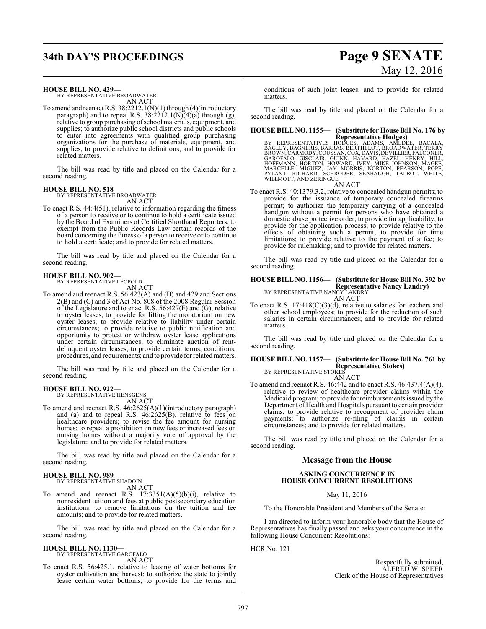# **34th DAY'S PROCEEDINGS Page 9 SENATE**

# May 12, 2016

**HOUSE BILL NO. 429—**

BY REPRESENTATIVE BROADWATER AN ACT

To amend and reenact R.S.  $38:2212.1(N)(1)$  through (4)(introductory paragraph) and to repeal R.S.  $38:2212.1(N)(4)(a)$  through (g), relative to group purchasing ofschool materials, equipment, and supplies; to authorize public school districts and public schools to enter into agreements with qualified group purchasing organizations for the purchase of materials, equipment, and supplies; to provide relative to definitions; and to provide for related matters.

The bill was read by title and placed on the Calendar for a second reading.

## **HOUSE BILL NO. 518—** BY REPRESENTATIVE BROADWATER

AN ACT

To enact R.S. 44:4(51), relative to information regarding the fitness of a person to receive or to continue to hold a certificate issued by the Board of Examiners of Certified Shorthand Reporters; to exempt from the Public Records Law certain records of the board concerning the fitness of a person to receive or to continue to hold a certificate; and to provide for related matters.

The bill was read by title and placed on the Calendar for a second reading.

#### **HOUSE BILL NO. 902—**

BY REPRESENTATIVE LEOPOLD

- AN ACT
- To amend and reenact R.S. 56:423(A) and (B) and 429 and Sections 2(B) and (C) and 3 of Act No. 808 of the 2008 Regular Session of the Legislature and to enact R.S.  $56:427(F)$  and  $(G)$ , relative to oyster leases; to provide for lifting the moratorium on new oyster leases; to provide relative to liability under certain circumstances; to provide relative to public notification and opportunity to protest or withdraw oyster lease applications under certain circumstances; to eliminate auction of rentdelinquent oyster leases; to provide certain terms, conditions, procedures, and requirements; and to provide for relatedmatters.

The bill was read by title and placed on the Calendar for a second reading.

#### **HOUSE BILL NO. 922—**

BY REPRESENTATIVE HENSGENS AN ACT

To amend and reenact R.S. 46:2625(A)(1)(introductory paragraph) and (a) and to repeal R.S.  $46:2625(B)$ , relative to fees on healthcare providers; to revise the fee amount for nursing homes; to repeal a prohibition on new fees or increased fees on nursing homes without a majority vote of approval by the legislature; and to provide for related matters.

The bill was read by title and placed on the Calendar for a second reading.

#### **HOUSE BILL NO. 989—**

BY REPRESENTATIVE SHADOIN AN ACT

To amend and reenact R.S.  $17:3351(A)(5)(b)(i)$ , relative to nonresident tuition and fees at public postsecondary education institutions; to remove limitations on the tuition and fee amounts; and to provide for related matters.

The bill was read by title and placed on the Calendar for a second reading.

#### **HOUSE BILL NO. 1130—** BY REPRESENTATIVE GAROFALO

AN ACT

To enact R.S. 56:425.1, relative to leasing of water bottoms for oyster cultivation and harvest; to authorize the state to jointly lease certain water bottoms; to provide for the terms and

conditions of such joint leases; and to provide for related matters.

The bill was read by title and placed on the Calendar for a second reading.

# **HOUSE BILL NO. 1155— (Substitute for House Bill No. 176 by**

**Representative Hodges)**<br>BY REPRESENTATIVES HODGES, ADAMS, AMEDEE, BACALA<br>BAGLEY, BAGNERIS, BARRAS, BERTHELOT, BROADWATER, TERRY<br>BROWN, CARMODY, COUSSAN, COX, DAVIS, DEVILLIER, FALCONER,<br>GAROFALO, GISCLAIR, GUINN, HAVARD, AN ACT

To enact R.S. 40:1379.3.2, relative to concealed handgun permits; to provide for the issuance of temporary concealed firearms permit; to authorize the temporary carrying of a concealed handgun without a permit for persons who have obtained a domestic abuse protective order; to provide for applicability; to provide for the application process; to provide relative to the effects of obtaining such a permit; to provide for time limitations; to provide relative to the payment of a fee; to provide for rulemaking; and to provide for related matters.

The bill was read by title and placed on the Calendar for a second reading.

#### **HOUSE BILL NO. 1156— (Substitute for House Bill No. 392 by Representative Nancy Landry)** BY REPRESENTATIVE NANCY LANDRY

AN ACT

To enact R.S. 17:418(C)(3)(d), relative to salaries for teachers and other school employees; to provide for the reduction of such salaries in certain circumstances; and to provide for related matters.

The bill was read by title and placed on the Calendar for a second reading.

#### **HOUSE BILL NO. 1157— (Substitute for House Bill No. 761 by Representative Stokes)** BY REPRESENTATIVE STOKES

AN ACT

To amend and reenact R.S. 46:442 and to enact R.S. 46:437.4(A)(4), relative to review of healthcare provider claims within the Medicaid program; to provide for reimbursements issued by the Department of Health and Hospitals pursuant to certain provider claims; to provide relative to recoupment of provider claim payments; to authorize re-filing of claims in certain circumstances; and to provide for related matters.

The bill was read by title and placed on the Calendar for a second reading.

#### **Message from the House**

#### **ASKING CONCURRENCE IN HOUSE CONCURRENT RESOLUTIONS**

May 11, 2016

To the Honorable President and Members of the Senate:

I am directed to inform your honorable body that the House of Representatives has finally passed and asks your concurrence in the following House Concurrent Resolutions:

HCR No. 121

Respectfully submitted, ALFRED W. SPEER Clerk of the House of Representatives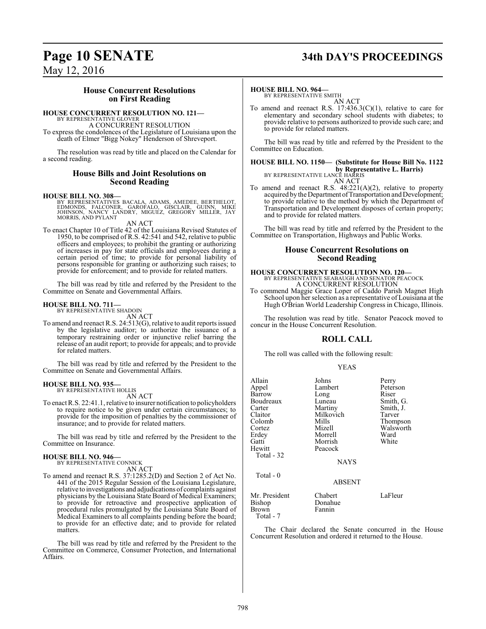# **Page 10 SENATE 34th DAY'S PROCEEDINGS**

May 12, 2016

### **House Concurrent Resolutions on First Reading**

#### **HOUSE CONCURRENT RESOLUTION NO. 121—**

BY REPRESENTATIVE GLOVER A CONCURRENT RESOLUTION

To express the condolences of the Legislature of Louisiana upon the death of Elmer "Bigg Nokey" Henderson of Shreveport.

The resolution was read by title and placed on the Calendar for a second reading.

#### **House Bills and Joint Resolutions on Second Reading**

#### **HOUSE BILL NO. 308—**

BY REPRESENTATIVES BACALA, ADAMS, AMEDEE, BERTHELOT,<br>EDMONDS, FALCONER, GAROFALO, GISCLAIR, GUINN, MIKE<br>JOHNSON, NANCY LANDRY, MIGUEZ, GREGORY MILLER, JAY<br>MORRIS, AND PYLANT

AN ACT

To enact Chapter 10 of Title 42 of the Louisiana Revised Statutes of 1950, to be comprised of R.S. 42:541 and 542, relative to public officers and employees; to prohibit the granting or authorizing of increases in pay for state officials and employees during a certain period of time; to provide for personal liability of persons responsible for granting or authorizing such raises; to provide for enforcement; and to provide for related matters.

The bill was read by title and referred by the President to the Committee on Senate and Governmental Affairs.

## **HOUSE BILL NO. 711—** BY REPRESENTATIVE SHADOIN

AN ACT

To amend and reenact R.S. 24:513(G), relative to audit reports issued by the legislative auditor; to authorize the issuance of a temporary restraining order or injunctive relief barring the release of an audit report; to provide for appeals; and to provide for related matters.

The bill was read by title and referred by the President to the Committee on Senate and Governmental Affairs.

#### **HOUSE BILL NO. 935—** BY REPRESENTATIVE HOLLIS

AN ACT

To enact R.S. 22:41.1, relative to insurer notification to policyholders to require notice to be given under certain circumstances; to provide for the imposition of penalties by the commissioner of insurance; and to provide for related matters.

The bill was read by title and referred by the President to the Committee on Insurance.

## **HOUSE BILL NO. 946—** BY REPRESENTATIVE CONNICK

AN ACT

To amend and reenact R.S. 37:1285.2(D) and Section 2 of Act No. 441 of the 2015 Regular Session of the Louisiana Legislature, relative to investigations and adjudications of complaints against physicians by the Louisiana State Board of Medical Examiners; to provide for retroactive and prospective application of procedural rules promulgated by the Louisiana State Board of Medical Examiners to all complaints pending before the board; to provide for an effective date; and to provide for related matters.

The bill was read by title and referred by the President to the Committee on Commerce, Consumer Protection, and International Affairs.

#### **HOUSE BILL NO. 964—**

BY REPRESENTATIVE SMITH AN ACT

To amend and reenact R.S. 17:436.3(C)(1), relative to care for elementary and secondary school students with diabetes; to provide relative to persons authorized to provide such care; and to provide for related matters.

The bill was read by title and referred by the President to the Committee on Education.

### **HOUSE BILL NO. 1150— (Substitute for House Bill No. 1122 by Representative L. Harris)**<br>BY REPRESENTATIVE LANCE HARRIS AN ACT

To amend and reenact R.S. 48:221(A)(2), relative to property acquired by the Department of Transportation and Development; to provide relative to the method by which the Department of Transportation and Development disposes of certain property; and to provide for related matters.

The bill was read by title and referred by the President to the Committee on Transportation, Highways and Public Works.

#### **House Concurrent Resolutions on Second Reading**

#### **HOUSE CONCURRENT RESOLUTION NO. 120—** BY REPRESENTATIVE SEABAUGH AND SENATOR PEACOCK A CONCURRENT RESOLUTION

To commend Maggie Grace Loper of Caddo Parish Magnet High School upon her selection as a representative of Louisiana at the Hugh O'Brian World Leadership Congress in Chicago, Illinois.

The resolution was read by title. Senator Peacock moved to concur in the House Concurrent Resolution.

#### **ROLL CALL**

The roll was called with the following result:

YEAS

| Allain<br>Appel<br>Barrow<br>Boudreaux<br>Carter<br>Claitor<br>Colomb<br>Cortez<br>Erdey<br>Gatti<br>Hewitt<br>Total - 32 | Johns<br>Lambert<br>Long<br>Luneau<br>Martiny<br>Milkovich<br>Mills<br>Mizell<br>Morrell<br>Morrish<br>Peacock<br><b>NAYS</b> | Perry<br>Peterson<br>Riser<br>Smith, G.<br>Smith, J.<br>Tarver<br>Thompson<br>Walsworth<br>Ward<br>White |
|---------------------------------------------------------------------------------------------------------------------------|-------------------------------------------------------------------------------------------------------------------------------|----------------------------------------------------------------------------------------------------------|
| Total - 0                                                                                                                 | <b>ABSENT</b>                                                                                                                 |                                                                                                          |
| Mr. President<br>Bishop<br>Brown<br>Total - 7                                                                             | Chabert<br>Donahue<br>Fannin                                                                                                  | LaFleur                                                                                                  |

The Chair declared the Senate concurred in the House Concurrent Resolution and ordered it returned to the House.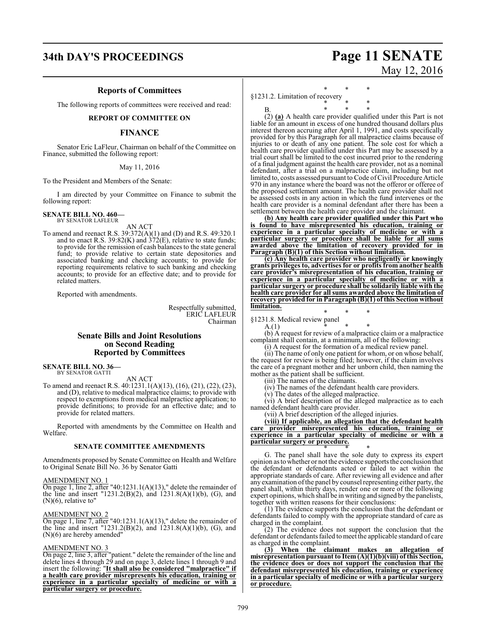## **34th DAY'S PROCEEDINGS Page 11 SENATE**

#### **Reports of Committees**

The following reports of committees were received and read:

#### **REPORT OF COMMITTEE ON**

#### **FINANCE**

Senator Eric LaFleur, Chairman on behalf of the Committee on Finance, submitted the following report:

#### May 11, 2016

To the President and Members of the Senate:

I am directed by your Committee on Finance to submit the following report:

**SENATE BILL NO. 460—** BY SENATOR LAFLEUR

AN ACT

To amend and reenact R.S. 39:372(A)(1) and (D) and R.S. 49:320.1 and to enact R.S. 39:82(K) and  $372(E)$ , relative to state funds; to provide for the remission of cash balances to the state general fund; to provide relative to certain state depositories and associated banking and checking accounts; to provide for reporting requirements relative to such banking and checking accounts; to provide for an effective date; and to provide for related matters.

Reported with amendments.

Respectfully submitted, ERIC LAFLEUR Chairman

### **Senate Bills and Joint Resolutions on Second Reading Reported by Committees**

**SENATE BILL NO. 36—** BY SENATOR GATTI

AN ACT

To amend and reenact R.S. 40:1231.1(A)(13), (16), (21), (22), (23), and (D), relative to medical malpractice claims; to provide with respect to exemptions from medical malpractice application; to provide definitions; to provide for an effective date; and to provide for related matters.

Reported with amendments by the Committee on Health and Welfare.

#### **SENATE COMMITTEE AMENDMENTS**

Amendments proposed by Senate Committee on Health and Welfare to Original Senate Bill No. 36 by Senator Gatti

#### AMENDMENT NO. 1

On page 1, line 2, after "40:1231.1(A)(13)," delete the remainder of the line and insert "1231.2(B)(2), and 1231.8(A)(1)(b), (G), and  $(N)(6)$ , relative to"

#### AMENDMENT NO. 2

On page 1, line 7, after "40:1231.1(A)(13)," delete the remainder of the line and insert "1231.2(B)(2), and  $1231.8(A)(1)(b)$ , (G), and (N)(6) are hereby amended"

#### AMENDMENT NO. 3

On page 2, line 3, after "patient." delete the remainder of the line and delete lines 4 through 29 and on page 3, delete lines 1 through 9 and insert the following: "**It shall also be considered "malpractice" if a health care provider misrepresents his education, training or experience in a particular specialty of medicine or with a particular surgery or procedure.**

\* \* \*

§1231.2. Limitation of recovery \* \* \*

B. \* \* \* (2) **(a)** A health care provider qualified under this Part is not liable for an amount in excess of one hundred thousand dollars plus interest thereon accruing after April 1, 1991, and costs specifically provided for by this Paragraph for all malpractice claims because of injuries to or death of any one patient. The sole cost for which a health care provider qualified under this Part may be assessed by a trial court shall be limited to the cost incurred prior to the rendering of a final judgment against the health care provider, not as a nominal defendant, after a trial on a malpractice claim, including but not limited to, costs assessed pursuant to Code ofCivil Procedure Article 970 in any instance where the board was not the offeror or offeree of the proposed settlement amount. The health care provider shall not be assessed costs in any action in which the fund intervenes or the health care provider is a nominal defendant after there has been a settlement between the health care provider and the claimant.

**(b) Any health care provider qualified under this Part who is found to have misrepresented his education, training or experience in a particular specialty of medicine or with a particular surgery or procedure shall be liable for all sums awarded above the limitation of recovery provided for in Paragraph (B)(1) of this Section without limitation.**

**(c) Any health care provider who negligently or knowingly grants privileges to, advertises for or profits from another health care provider's misrepresentation of his education, training or experience in a particular specialty of medicine or with a particular surgery or procedure shall be solidarily liable with the health care provider for all sums awarded above the limitation of recovery provided for in Paragraph (B)(1) of this Section without limitation.**

\* \* \*  $$1231.8.$  Medical review panel<br>A.(1)  $*$ 

A.(1) \* \* \*

(b) A request for review of a malpractice claim or a malpractice complaint shall contain, at a minimum, all of the following:

(i) A request for the formation of a medical review panel.

(ii) The name of only one patient for whom, or on whose behalf, the request for review is being filed; however, if the claim involves the care of a pregnant mother and her unborn child, then naming the mother as the patient shall be sufficient.

(iii) The names of the claimants.

(iv) The names of the defendant health care providers.

(v) The dates of the alleged malpractice.

(vi) A brief description of the alleged malpractice as to each named defendant health care provider.

(vii) A brief description of the alleged injuries.

**(viii) If applicable, an allegation that the defendant health care provider misrepresented his education, training or experience in a particular specialty of medicine or with a particular surgery or procedure.** \* \* \*

G. The panel shall have the sole duty to express its expert opinion as to whether or not the evidence supports the conclusion that the defendant or defendants acted or failed to act within the appropriate standards of care. After reviewing all evidence and after any examination ofthe panel by counsel representing either party, the panel shall, within thirty days, render one or more of the following expert opinions, which shall be in writing and signed by the panelists, together with written reasons for their conclusions:

(1) The evidence supports the conclusion that the defendant or defendants failed to comply with the appropriate standard of care as charged in the complaint.

(2) The evidence does not support the conclusion that the defendant or defendants failed to meet the applicable standard of care as charged in the complaint.

**(3) When the claimant makes an allegation of misrepresentation pursuant to Item (A)(1)(b)(viii) of this Section, the evidence does or does not support the conclusion that the defendant misrepresented his education, training or experience in a particular specialty of medicine or with a particular surgery or procedure.**

# May 12, 2016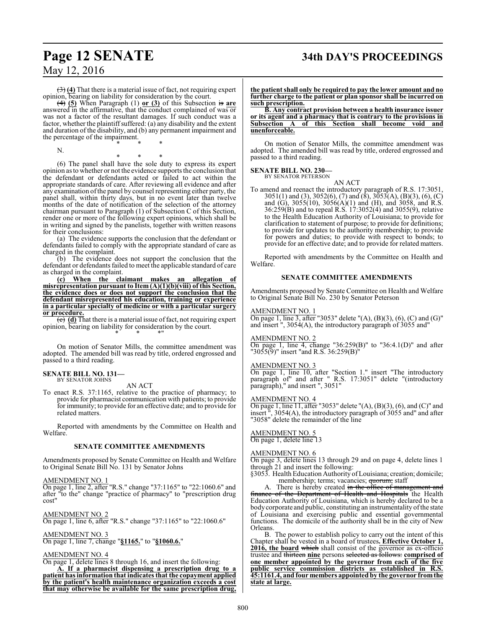## **Page 12 SENATE 34th DAY'S PROCEEDINGS**

May 12, 2016

(3) **(4)** That there is a material issue of fact, not requiring expert opinion, bearing on liability for consideration by the court.

(4) **(5)** When Paragraph (1) **or (3)** of this Subsection is **are** answered in the affirmative, that the conduct complained of was or was not a factor of the resultant damages. If such conduct was a factor, whether the plaintiff suffered: (a) any disability and the extent and duration of the disability, and (b) any permanent impairment and the percentage of the impairment. \* \* \*

N.

\* \* \* (6) The panel shall have the sole duty to express its expert opinion as to whether or not the evidence supports the conclusion that the defendant or defendants acted or failed to act within the appropriate standards of care. After reviewing all evidence and after any examination ofthe panel by counsel representing either party, the panel shall, within thirty days, but in no event later than twelve months of the date of notification of the selection of the attorney chairman pursuant to Paragraph (1) of Subsection C of this Section, render one or more of the following expert opinions, which shall be in writing and signed by the panelists, together with written reasons for their conclusions:

(a) The evidence supports the conclusion that the defendant or defendants failed to comply with the appropriate standard of care as charged in the complaint.

(b) The evidence does not support the conclusion that the defendant or defendants failed to meet the applicable standard of care as charged in the complaint.

**(c) When the claimant makes an allegation of misrepresentation pursuant to Item (A)(1)(b)(viii) of this Section, the evidence does or does not support the conclusion that the defendant misrepresented his education, training or experience in a particular specialty of medicine or with a particular surgery or procedure.**

(c) (d) That there is a material issue of fact, not requiring expert opinion, bearing on liability for consideration by the court. \* \* \*"

On motion of Senator Mills, the committee amendment was adopted. The amended bill was read by title, ordered engrossed and passed to a third reading.

## **SENATE BILL NO. 131—** BY SENATOR JOHNS

AN ACT

To enact R.S. 37:1165, relative to the practice of pharmacy; to provide for pharmacist communication with patients; to provide for immunity; to provide for an effective date; and to provide for related matters.

Reported with amendments by the Committee on Health and Welfare.

#### **SENATE COMMITTEE AMENDMENTS**

Amendments proposed by Senate Committee on Health and Welfare to Original Senate Bill No. 131 by Senator Johns

#### AMENDMENT NO. 1

On page 1, line 2, after "R.S." change "37:1165" to "22:1060.6" and after "to the" change "practice of pharmacy" to "prescription drug cost"

AMENDMENT NO. 2 On page 1, line 6, after "R.S." change "37:1165" to "22:1060.6"

AMENDMENT NO. 3

On page 1, line 7, change "**§1165.**" to "**§1060.6.**"

#### AMENDMENT NO. 4

On page 1, delete lines 8 through 16, and insert the following:

**A. If a pharmacist dispensing a prescription drug to a patient has information that indicates that the copayment applied by the patient's health maintenance organization exceeds a cost that may otherwise be available for the same prescription drug,**

**the patient shall only be required to pay the lower amount and no further charge to the patient or plan sponsor shall be incurred on such prescription.**

**B. Any contract provision between a health insurance issuer or its agent and a pharmacy that is contrary to the provisions in Subsection A of this Section shall become void and unenforceable.**

On motion of Senator Mills, the committee amendment was adopted. The amended bill was read by title, ordered engrossed and passed to a third reading.

#### **SENATE BILL NO. 230—** BY SENATOR PETERSON

AN ACT

To amend and reenact the introductory paragraph of R.S. 17:3051, 3051(1) and (3), 3052(6), (7) and (8), 3053(A), (B)(3), (6), (C) and (G), 3055(10), 3056(A)(1) and (H), and 3058, and R.S. 36:259(B) and to repeal R.S. 17:3052(4) and 3055(9), relative to the Health Education Authority of Louisiana; to provide for clarification to statement of purpose; to provide for definitions; to provide for updates to the authority membership; to provide for powers and duties; to provide with respect to bonds; to provide for an effective date; and to provide for related matters.

Reported with amendments by the Committee on Health and Welfare.

#### **SENATE COMMITTEE AMENDMENTS**

Amendments proposed by Senate Committee on Health and Welfare to Original Senate Bill No. 230 by Senator Peterson

#### AMENDMENT NO. 1

On page 1, line 3, after "3053" delete "(A),  $(B)(3)$ ,  $(6)$ ,  $(C)$  and  $(G)$ " and insert ", 3054(A), the introductory paragraph of 3055 and"

#### AMENDMENT NO. 2

On page 1, line 4, change "36:259(B)" to "36:4.1(D)" and after "3055(9)" insert "and R.S. 36:259(B)"

#### AMENDMENT NO. 3

On page 1, line 10, after "Section 1." insert "The introductory paragraph of" and after " R.S. 17:3051" delete "(introductory paragraph)," and insert ", 3051"

#### AMENDMENT NO. 4

On page 1, line 11, after "3053" delete "(A), (B)(3), (6), and (C)" and insert ", 3054(A), the introductory paragraph of 3055 and" and after "3058" delete the remainder of the line

## AMENDMENT NO. 5

On page 1, delete line 13

#### AMENDMENT NO. 6

On page 3, delete lines 13 through 29 and on page 4, delete lines 1 through 21 and insert the following:

- §3053. Health Education Authority of Louisiana; creation; domicile; membership; terms; vacancies; quorum; staff
	-

A. There is hereby created in the office of management and finance of the Department of Health and Hospitals the Health Education Authority of Louisiana, which is hereby declared to be a body corporate and public, constituting an instrumentality of the state of Louisiana and exercising public and essential governmental functions. The domicile of the authority shall be in the city of New Orleans.

B. The power to establish policy to carry out the intent of this Chapter shall be vested in a board of trustees**. Effective October 1, 2016, the board** which shall consist of the governor as ex-officio trustee and thirteen **nine** persons selected as follows: **comprised of one member appointed by the governor from each of the five public service commission districts as established in R.S. 45:1161.4, and four members appointed by the governor fromthe state at large.**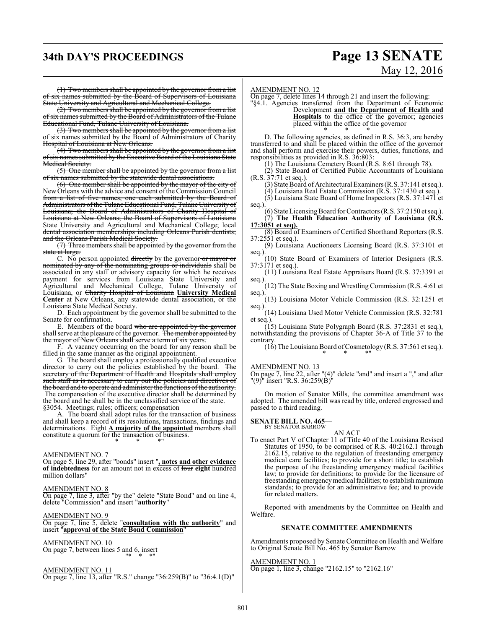## **34th DAY'S PROCEEDINGS Page 13 SENATE**

# May 12, 2016

(1) Two members shall be appointed by the governor from a list of six names submitted by the Board of Supervisors of Louisiana State University and Agricultural and Mechanical College.

(2) Two members shall be appointed by the governor from a list six names submitted by the Board of Administrators of the Tulane Educational Fund, Tulane University of Louisiana.

(3) Two members shall be appointed by the governor from a list of six names submitted by the Board of Administrators of Charity Hospital of Louisiana at New Orleans.

(4) Two members shall be appointed by the governor from a list of six names submitted by the Executive Board of the Louisiana State Medical Society.

(5) One member shall be appointed by the governor from a list ix names submitted by the statewide dental associations

(6) One member shall be appointed by the mayor of the city of New Orleans with the advice and consent of the Commission Council from a list of five names, one each submitted by the Board of Administrators ofthe Tulane Educational Fund, Tulane University of Louisiana; the Board of Administrators of Charity Hospital of Louisiana at New Orleans; the Board of Supervisors of Louisiana State University and Agricultural and Mechanical College; local dental association memberships including Orleans Parish dentists; and the Orleans Parish Medical Society.

(7) Three members shall be appointed by the governor from the state at large

C. No person appointed directly by the governor or mayor or nominated by any of the nominating groups or individuals shall be associated in any staff or advisory capacity for which he receives payment for services from Louisiana State University and Agricultural and Mechanical College, Tulane University of Louisiana, or Charity Hospital of Louisiana **University Medical Center** at New Orleans, any statewide dental association, or the Louisiana State Medical Society.

D. Each appointment by the governor shall be submitted to the Senate for confirmation.

E. Members of the board who are appointed by the governor shall serve at the pleasure of the governor. The member appointed by the mayor of New Orleans shall serve a term of six years.

F. A vacancy occurring on the board for any reason shall be filled in the same manner as the original appointment.

G. The board shall employ a professionally qualified executive director to carry out the policies established by the board. The secretary of the Department of Health and Hospitals shall employ such staff as is necessary to carry out the policies and directives of the board and to operate and administer the functions of the authority. The compensation of the executive director shall be determined by the board and he shall be in the unclassified service of the state. §3054. Meetings; rules; officers; compensation

The board shall adopt rules for the transaction of business and shall keep a record of its resolutions, transactions, findings and determinations. Eight **A majority of the appointed** members shall constitute a quorum for the transaction of business.

AMENDMENT NO. 7

On page 5, line 29, after "bonds" insert "**, notes and other evidence of indebtedness** for an amount not in excess of four **eight** hundred million dollars

\* \* \*"

#### AMENDMENT NO. 8

On page 7, line 3, after "by the" delete "State Bond" and on line 4, delete "Commission" and insert "**authority**"

AMENDMENT NO. 9

On page 7, line 5, delete "**consultation with the authority**" and insert "**approval of the State Bond Commission**"

#### AMENDMENT NO. 10

On page 7, between lines 5 and 6, insert "\* \* \*"

AMENDMENT NO. 11

On page 7, line 13, after "R.S." change "36:259(B)" to "36:4.1(D)"

#### AMENDMENT NO. 12

On page 7, delete lines 14 through 21 and insert the following: "§4.1. Agencies transferred from the Department of Economic

Development **and the Department of Health and**

**Hospitals** to the office of the governor; agencies placed within the office of the governor

\* \* \*

D. The following agencies, as defined in R.S. 36:3, are hereby transferred to and shall be placed within the office of the governor and shall perform and exercise their powers, duties, functions, and responsibilities as provided in R.S. 36:803:

(1) The Louisiana Cemetery Board (R.S. 8:61 through 78).

(2) State Board of Certified Public Accountants of Louisiana (R.S. 37:71 et seq.).

(3) State Board of Architectural Examiners (R.S. 37:141 et seq.).

(4) Louisiana Real Estate Commission (R.S. 37:1430 et seq.).

(5) Louisiana State Board of Home Inspectors (R.S. 37:1471 et seq.)

(6) State Licensing Board for Contractors (R.S. 37:2150 et seq.). (7) **The Health Education Authority of Louisiana (R.S. 17:3051 et seq).**

(8) Board of Examiners of Certified Shorthand Reporters (R.S.  $37:2551$  et seq.).

(9) Louisiana Auctioneers Licensing Board (R.S. 37:3101 et seq.).

(10) State Board of Examiners of Interior Designers (R.S. 37:3171 et seq.).

(11) Louisiana Real Estate Appraisers Board (R.S. 37:3391 et seq.).

(12) The State Boxing and Wrestling Commission (R.S. 4:61 et seq.).

(13) Louisiana Motor Vehicle Commission (R.S. 32:1251 et seq.).

(14) Louisiana Used Motor Vehicle Commission (R.S. 32:781 et seq.).

(15) Louisiana State Polygraph Board (R.S. 37:2831 et seq.), notwithstanding the provisions of Chapter 36-A of Title 37 to the contrary.

(16) The Louisiana Board ofCosmetology (R.S. 37:561 et seq.). \* \* \*"

#### AMENDMENT NO. 13

On page 7, line 22, after "(4)" delete "and" and insert a "," and after "(9)" insert "R.S. 36:259(B)"

On motion of Senator Mills, the committee amendment was adopted. The amended bill was read by title, ordered engrossed and passed to a third reading.

**SENATE BILL NO. 465** 

BY SENATOR BARROW

AN ACT To enact Part V of Chapter 11 of Title 40 of the Louisiana Revised Statutes of 1950, to be comprised of R.S. 40:2162.1 through 2162.15, relative to the regulation of freestanding emergency medical care facilities; to provide for a short title; to establish the purpose of the freestanding emergency medical facilities law; to provide for definitions; to provide for the licensure of freestanding emergency medical facilities; to establish minimum standards; to provide for an administrative fee; and to provide for related matters.

Reported with amendments by the Committee on Health and Welfare.

#### **SENATE COMMITTEE AMENDMENTS**

Amendments proposed by Senate Committee on Health and Welfare to Original Senate Bill No. 465 by Senator Barrow

AMENDMENT NO. 1 On page 1, line 3, change "2162.15" to "2162.16"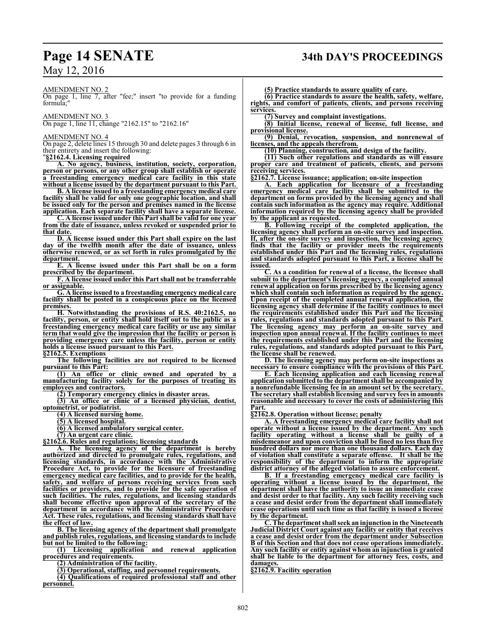#### AMENDMENT NO. 2

On page 1, line 7, after "fee;" insert "to provide for a funding formula;"

AMENDMENT NO. 3 On page 1, line 11, change "2162.15" to "2162.16"

#### AMENDMENT NO. 4

On page 2, delete lines 15 through 30 and delete pages 3 through 6 in their entirety and insert the following:

"**§2162.4. Licensing required**

**A. No agency, business, institution, society, corporation, person or persons, or any other group shall establish or operate a freestanding emergency medical care facility in this state without a license issued by the department pursuant to this Part.** 

**B. A license issued to a freestanding emergency medical care facility shall be valid for only one geographic location, and shall be issued only for the person and premises named in the license application. Each separate facility shall have a separate license.** 

**C. A license issued under this Part shall be valid for one year from the date of issuance, unless revoked or suspended prior to that date.**

**D. A license issued under this Part shall expire on the last day of the twelfth month after the date of issuance, unless otherwise renewed, or as set forth in rules promulgated by the department.**

**E. A license issued under this Part shall be on a form prescribed by the department.**

**F. A license issued under this Part shall not be transferrable or assignable.**

**G. A license issued to a freestanding emergency medical care facility shall be posted in a conspicuous place on the licensed premises.**

**H. Notwithstanding the provisions of R.S. 40:2162.5, no facility, person, or entity shall hold itself out to the public as a freestanding emergency medical care facility or use any similar term that would give the impression that the facility or person is providing emergency care unless the facility, person or entity holds a license issued pursuant to this Part.**

**§2162.5. Exemptions**

**The following facilities are not required to be licensed pursuant to this Part:**

**(1) An office or clinic owned and operated by a manufacturing facility solely for the purposes of treating its employees and contractors.**

**(2) Temporary emergency clinics in disaster areas.**

**(3) An office or clinic of a licensed physician, dentist, optometrist, or podiatrist.**

**(4) A licensed nursing home.**

**(5) A licensed hospital.**

**(6) A licensed ambulatory surgical center.**

**(7) An urgent care clinic.**

**§2162.6. Rules and regulations; licensing standards**

**A. The licensing agency of the department is hereby authorized and directed to promulgate rules, regulations, and licensing standards, in accordance with the Administrative Procedure Act, to provide for the licensure of freestanding emergency medical care facilities, and to provide for the health, safety, and welfare of persons receiving services from such facilities or providers, and to provide for the safe operation of such facilities. The rules, regulations, and licensing standards shall become effective upon approval of the secretary of the department in accordance with the Administrative Procedure Act. These rules, regulations, and licensing standards shall have the effect of law.**

**B. The licensing agency of the department shall promulgate and publish rules, regulations, and licensing standards to include but not be limited to the following:**

**(1) Licensing application and renewal application procedures and requirements.**

**(2) Administration of the facility.**

**(3) Operational, staffing, and personnel requirements.**

**(4) Qualifications of required professional staff and other personnel.**

**(5) Practice standards to assure quality of care.**

**(6) Practice standards to assure the health, safety, welfare, rights, and comfort of patients, clients, and persons receiving services.**

**(7) Survey and complaint investigations.**

**(8) Initial license, renewal of license, full license, and provisional license.**

**(9) Denial, revocation, suspension, and nonrenewal of licenses, and the appeals therefrom.**

**(10) Planning, construction, and design of the facility.**

**(11) Such other regulations and standards as will ensure proper care and treatment of patients, clients, and persons receiving services.**

**§2162.7. License issuance; application; on-site inspection**

**A. Each application for licensure of a freestanding emergency medical care facility shall be submitted to the department on forms provided by the licensing agency and shall contain such information as the agency may require. Additional information required by the licensing agency shall be provided by the applicant as requested.**

**B. Following receipt of the completed application, the licensing agency shall perform an on-site survey and inspection. If, after the on-site survey and inspection, the licensing agency finds that the facility or provider meets the requirements established under this Part and the licensing rules, regulations and standards adopted pursuant to this Part, a license shall be issued.**

**C. As a condition for renewal of a license, the licensee shall submit to the department's licensing agency, a completed annual renewal application on forms prescribed by the licensing agency which shall contain such information as required by the agency. Upon receipt of the completed annual renewal application, the licensing agency shall determine if the facility continues to meet the requirements established under this Part and the licensing rules, regulations and standards adopted pursuant to this Part. The licensing agency may perform an on-site survey and inspection upon annual renewal. If the facility continues to meet the requirements established under this Part and the licensing rules, regulations, and standards adopted pursuant to this Part, the license shall be renewed.**

**D. The licensing agency may perform on-site inspections as necessary to ensure compliance with the provisions of this Part.** 

**E. Each licensing application and each licensing renewal application submitted to the department shall be accompanied by a nonrefundable licensing fee in an amount set by the secretary. The secretary shall establish licensing and survey fees in amounts reasonable and necessary to cover the costs of administering this Part.**

**§2162.8. Operation without license; penalty**

**A. A freestanding emergency medical care facility shall not operate without a license issued by the department. Any such facility operating without a license shall be guilty of a misdemeanor and upon conviction shall be fined no less than five hundred dollars nor more than one thousand dollars. Each day of violation shall constitute a separate offense. It shall be the responsibility of the department to inform the appropriate district attorney of the alleged violation to assure enforcement.**

**B. If a freestanding emergency medical care facility is operating without a license issued by the department, the department shall have the authority to issue an immediate cease and desist order to that facility. Any such facility receiving such a cease and desist order from the department shall immediately cease operations until such time as that facility is issued a license by the department.**

**C. The department shall seekan injunction in the Nineteenth Judicial District Court against any facility or entity that receives a cease and desist order from the department under Subsection B of this Section and that does not cease operations immediately. Any such facility or entity against whom an injunction is granted shall be liable to the department for attorney fees, costs, and damages.**

**§2162.9. Facility operation**

# **Page 14 SENATE 34th DAY'S PROCEEDINGS**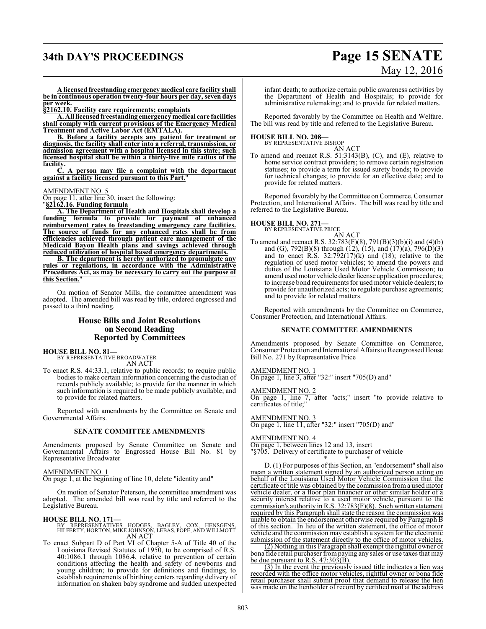## **34th DAY'S PROCEEDINGS Page 15 SENATE**

# May 12, 2016

**A licensed freestanding emergency medical care facility shall be in continuous operation twenty-four hours per day, seven days per week.**

**§2162.10. Facility care requirements; complaints**

**A. All licensedfreestanding emergency medical care facilities shall comply with current provisions of the Emergency Medical Treatment and Active Labor Act (EMTALA).**

**B. Before a facility accepts any patient for treatment or diagnosis, the facility shall enter into a referral, transmission, or admission agreement with a hospital licensed in this state; such licensed hospital shall be within a thirty-five mile radius of the facility.**

**C. A person may file a complaint with the department against a facility licensed pursuant to this Part.**"

AMENDMENT NO. 5

On page 11, after line 30, insert the following:

"**§2162.16. Funding formula**

**A. The Department of Health and Hospitals shall develop a funding formula to provide for payment of enhanced reimbursement rates to freestanding emergency care facilities. The source of funds for any enhanced rates shall be from efficiencies achieved through patient care management of the Medicaid Bayou Health plans and savings achieved through reduced utilization of hospital based emergency departments.**

**B. The department is hereby authorized to promulgate any rules or regulations, in accordance with the Administrative Procedures Act, as may be necessary to carry out the purpose of this Section.**"

On motion of Senator Mills, the committee amendment was adopted. The amended bill was read by title, ordered engrossed and passed to a third reading.

### **House Bills and Joint Resolutions on Second Reading Reported by Committees**

**HOUSE BILL NO. 81—**

BY REPRESENTATIVE BROADWATER AN ACT

To enact R.S. 44:33.1, relative to public records; to require public bodies to make certain information concerning the custodian of records publicly available; to provide for the manner in which such information is required to be made publicly available; and to provide for related matters.

Reported with amendments by the Committee on Senate and Governmental Affairs.

#### **SENATE COMMITTEE AMENDMENTS**

Amendments proposed by Senate Committee on Senate and Governmental Affairs to Engrossed House Bill No. 81 by Representative Broadwater

#### AMENDMENT NO. 1

On page 1, at the beginning of line 10, delete "identity and"

On motion of Senator Peterson, the committee amendment was adopted. The amended bill was read by title and referred to the Legislative Bureau.

#### **HOUSE BILL NO. 171—**

BY REPRESENTATIVES HODGES, BAGLEY, COX, HENSGENS, HILFERTY, HORTON, MIKE JOHNSON, LEBAS, POPE, AND WILLMOTT AN ACT

To enact Subpart D of Part VI of Chapter 5-A of Title 40 of the Louisiana Revised Statutes of 1950, to be comprised of R.S. 40:1086.1 through 1086.4, relative to prevention of certain conditions affecting the health and safety of newborns and young children; to provide for definitions and findings; to establish requirements of birthing centers regarding delivery of information on shaken baby syndrome and sudden unexpected

infant death; to authorize certain public awareness activities by the Department of Health and Hospitals; to provide for administrative rulemaking; and to provide for related matters.

Reported favorably by the Committee on Health and Welfare. The bill was read by title and referred to the Legislative Bureau.

#### **HOUSE BILL NO. 208—**

BY REPRESENTATIVE BISHOP AN ACT

To amend and reenact R.S. 51:3143(B), (C), and (E), relative to home service contract providers; to remove certain registration statuses; to provide a term for issued surety bonds; to provide for technical changes; to provide for an effective date; and to provide for related matters.

Reported favorably by the Committee on Commerce, Consumer Protection, and International Affairs. The bill was read by title and referred to the Legislative Bureau.

## **HOUSE BILL NO. 271—** BY REPRESENTATIVE PRICE

AN ACT

To amend and reenact R.S. 32:783(F)(8), 791(B)(3)(b)(i) and (4)(b) and (G),  $792(B)(8)$  through (12), (15), and (17)(a), 796(D)(3) and to enact R.S.  $32:792(17)(k)$  and (18); relative to the regulation of used motor vehicles; to amend the powers and duties of the Louisiana Used Motor Vehicle Commission; to amend used motor vehicle dealer license application procedures; to increase bond requirements for used motor vehicle dealers; to provide for unauthorized acts; to regulate purchase agreements; and to provide for related matters.

Reported with amendments by the Committee on Commerce, Consumer Protection, and International Affairs.

#### **SENATE COMMITTEE AMENDMENTS**

Amendments proposed by Senate Committee on Commerce, Consumer Protection and International Affairs to Reengrossed House Bill No. 271 by Representative Price

AMENDMENT NO. 1 On page 1, line 3, after "32:" insert "705(D) and"

AMENDMENT NO. 2

On page 1, line 7, after "acts;" insert "to provide relative to certificates of title;"

AMENDMENT NO. 3 On page 1, line 11, after "32:" insert "705(D) and"

AMENDMENT NO. 4

On page 1, between lines 12 and 13, insert "§705. Delivery of certificate to purchaser of vehicle \* \* \*

D. (1) For purposes of this Section, an "endorsement" shall also mean a written statement signed by an authorized person acting on behalf of the Louisiana Used Motor Vehicle Commission that the certificate of title was obtained by the commission froma used motor vehicle dealer, or a floor plan financier or other similar holder of a security interest relative to a used motor vehicle, pursuant to the commission's authority in R.S. 32:783(F)(8). Such written statement required by this Paragraph shall state the reason the commission was unable to obtain the endorsement otherwise required by Paragraph B of this section. In lieu of the written statement, the office of motor vehicle and the commission may establish a system for the electronic submission of the statement directly to the office of motor vehicles.

(2) Nothing in this Paragraph shall exempt the rightful owner or bona fide retail purchaser frompaying any sales or use taxes that may be due pursuant to  $R.S. 47:303(B)$ .

(3) In the event the previously issued title indicates a lien was recorded with the office motor vehicles, rightful owner or bona fide retail purchaser shall submit proof that demand to release the lien was made on the lienholder of record by certified mail at the address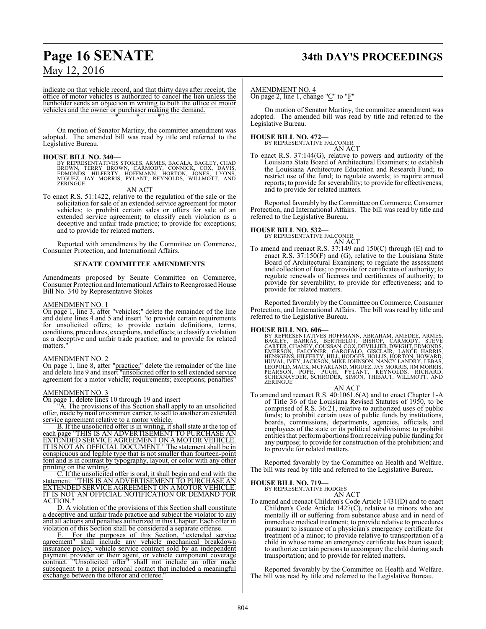# **Page 16 SENATE 34th DAY'S PROCEEDINGS**

## May 12, 2016

indicate on that vehicle record, and that thirty days after receipt, the office of motor vehicles is authorized to cancel the lien unless the lienholder sends an objection in writing to both the office of motor vehicles and the owner or purchaser making the demand. \* \* \*"

On motion of Senator Martiny, the committee amendment was adopted. The amended bill was read by title and referred to the Legislative Bureau.

#### **HOUSE BILL NO. 340—**

BY REPRESENTATIVES STOKES, ARMES, BACALA, BAGLEY, CHAD<br>BROWN, TERRY BROWN, CARMODY, CONNICK, COX, DAVIS,<br>EDMONDS, HILFERTY, HOFFMANN, HORTON, JONES, LYONS,<br>MIGUEZ, JAY MORRIS, PYLANT, REYNOLDS, WILLMOTT, AND **ZERINGÚE** 

AN ACT

To enact R.S. 51:1422, relative to the regulation of the sale or the solicitation for sale of an extended service agreement for motor vehicles; to prohibit certain sales or offers for sale of an extended service agreement; to classify each violation as a deceptive and unfair trade practice; to provide for exceptions; and to provide for related matters.

Reported with amendments by the Committee on Commerce, Consumer Protection, and International Affairs.

#### **SENATE COMMITTEE AMENDMENTS**

Amendments proposed by Senate Committee on Commerce, Consumer Protection and International Affairs to Reengrossed House Bill No. 340 by Representative Stokes

#### AMENDMENT NO. 1

On page 1, line 3, after "vehicles;" delete the remainder of the line and delete lines 4 and 5 and insert "to provide certain requirements for unsolicited offers; to provide certain definitions, terms, conditions, procedures, exceptions, and effects; to classify a violation as a deceptive and unfair trade practice; and to provide for related matters."

#### AMENDMENT NO. 2

On page 1, line 8, after "practice;" delete the remainder of the line and delete line 9 and insert "unsolicited offer to sell extended service agreement for a motor vehicle; requirements; exceptions; penalties"

#### AMENDMENT NO. 3

On page 1, delete lines 10 through 19 and insert

"A. The provisions of this Section shall apply to an unsolicited offer, made by mail or common carrier, to sell to another an extended service agreement relative to a motor vehicle.

B. If the unsolicited offer is in writing, it shall state at the top of each page "THIS IS AN ADVERTISEMENT TO PURCHASE AN EXTENDED SERVICE AGREEMENT ON A MOTOR VEHICLE. IT IS NOT AN OFFICIAL DOCUMENT." The statement shall be in conspicuous and legible type that is not smaller than fourteen-point font and is in contrast by typography, layout, or color with any other printing on the writing.

C. If the unsolicited offer is oral, it shall begin and end with the statement: "THIS IS AN ADVERTISEMENT TO PURCHASE AN EXTENDED SERVICE AGREEMENT ON A MOTOR VEHICLE. IT IS NOT AN OFFICIAL NOTIFICATION OR DEMAND FOR ACTION."

D. A violation of the provisions of this Section shall constitute a deceptive and unfair trade practice and subject the violator to any and all actions and penalties authorized in this Chapter. Each offer in violation of this Section shall be considered a separate offense.

E. For the purposes of this Section, "extended service agreement" shall include any vehicle mechanical breakdown insurance policy, vehicle service contract sold by an independent payment provider or their agent, or vehicle component coverage contract. "Unsolicited offer" shall not include an offer made subsequent to a prior personal contact that included a meaningful exchange between the offeror and offeree."

#### AMENDMENT NO. 4

On page 2, line 1, change "C" to "F"

On motion of Senator Martiny, the committee amendment was adopted. The amended bill was read by title and referred to the Legislative Bureau.

#### **HOUSE BILL NO. 472—** BY REPRESENTATIVE FALCONER

AN ACT

To enact R.S. 37:144(G), relative to powers and authority of the Louisiana State Board of Architectural Examiners; to establish the Louisiana Architecture Education and Research Fund; to restrict use of the fund; to regulate awards; to require annual reports; to provide for severability; to provide for effectiveness; and to provide for related matters.

Reported favorably by the Committee on Commerce, Consumer Protection, and International Affairs. The bill was read by title and referred to the Legislative Bureau.

## **HOUSE BILL NO. 532—** BY REPRESENTATIVE FALCONER

AN ACT

To amend and reenact R.S. 37:149 and 150(C) through (E) and to enact R.S. 37:150(F) and (G), relative to the Louisiana State Board of Architectural Examiners; to regulate the assessment and collection of fees; to provide for certificates of authority; to regulate renewals of licenses and certificates of authority; to provide for severability; to provide for effectiveness; and to provide for related matters.

Reported favorably by the Committee on Commerce, Consumer Protection, and International Affairs. The bill was read by title and referred to the Legislative Bureau.

HOUSE BILL NO. 606—<br>BY REPRESENTATIVES HOFFMANN, ABRAHAM, AMEDEE, ARMES, BAGLEY, BARRAS, BERTHELOT, BISHOP, CARMODY, STEVE<br>CARTER, CHANEY, COUSSAN, COX, DEVILLIER, DWIGHT, EDMONDS,<br>EMERSON, FALCONER, GAROFALO, GISCLAIR, LA

#### AN ACT

To amend and reenact R.S. 40:1061.6(A) and to enact Chapter 1-A of Title 36 of the Louisiana Revised Statutes of 1950, to be comprised of R.S. 36:21, relative to authorized uses of public funds; to prohibit certain uses of public funds by institutions, boards, commissions, departments, agencies, officials, and employees of the state or its political subdivisions; to prohibit entities that performabortions fromreceiving public funding for any purpose; to provide for construction of the prohibition; and to provide for related matters.

Reported favorably by the Committee on Health and Welfare. The bill was read by title and referred to the Legislative Bureau.

**HOUSE BILL NO. 719—** BY REPRESENTATIVE HODGES AN ACT

To amend and reenact Children's Code Article 1431(D) and to enact Children's Code Article 1427(C), relative to minors who are mentally ill or suffering from substance abuse and in need of immediate medical treatment; to provide relative to procedures pursuant to issuance of a physician's emergency certificate for treatment of a minor; to provide relative to transportation of a child in whose name an emergency certificate has been issued; to authorize certain persons to accompany the child during such transportation; and to provide for related matters.

Reported favorably by the Committee on Health and Welfare. The bill was read by title and referred to the Legislative Bureau.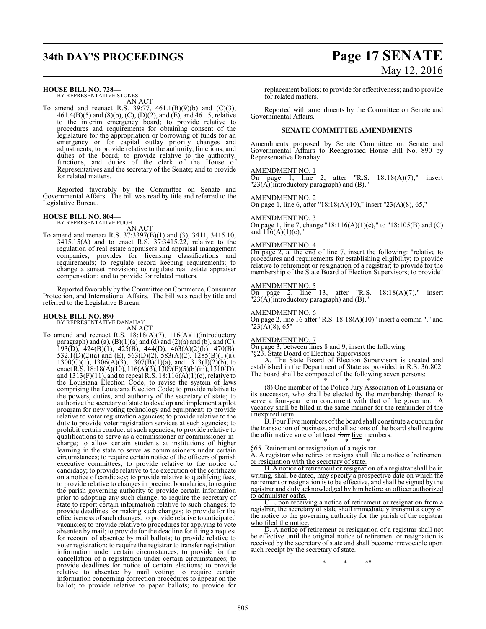## **34th DAY'S PROCEEDINGS Page 17 SENATE**

# May 12, 2016

#### **HOUSE BILL NO. 728—**

BY REPRESENTATIVE STOKES AN ACT

To amend and reenact R.S. 39:77, 461.1(B)(9)(b) and (C)(3), 461.4(B)(5) and (8)(b), (C), (D)(2), and (E), and 461.5, relative to the interim emergency board; to provide relative to procedures and requirements for obtaining consent of the legislature for the appropriation or borrowing of funds for an emergency or for capital outlay priority changes and adjustments; to provide relative to the authority, functions, and duties of the board; to provide relative to the authority, functions, and duties of the clerk of the House of Representatives and the secretary of the Senate; and to provide for related matters.

Reported favorably by the Committee on Senate and Governmental Affairs. The bill was read by title and referred to the Legislative Bureau.

## **HOUSE BILL NO. 804—** BY REPRESENTATIVE PUGH

AN ACT

To amend and reenact R.S. 37:3397(B)(1) and (3), 3411, 3415.10, 3415.15(A) and to enact R.S. 37:3415.22, relative to the regulation of real estate appraisers and appraisal management companies; provides for licensing classifications and requirements; to regulate record keeping requirements; to change a sunset provision; to regulate real estate appraiser compensation; and to provide for related matters.

Reported favorably by the Committee on Commerce, Consumer Protection, and International Affairs. The bill was read by title and referred to the Legislative Bureau.

#### **HOUSE BILL NO. 890—**

BY REPRESENTATIVE DANAHAY AN ACT

To amend and reenact R.S.  $18:18(A)(7)$ ,  $116(A)(1)(introductory)$ paragraph) and (a),  $(B)(1)(a)$  and  $(d)$  and  $(2)(a)$  and  $(b)$ , and  $(C)$ , 193(D), 424(B)(1), 425(B), 444(D), 463(A)(2)(b), 470(B), 532.1(D)(2)(a) and (E), 563(D)(2), 583(A)(2), 1285(B)(1)(a),  $1300(\text{C})(1)$ ,  $1306(\text{A})(3)$ ,  $1307(\text{B})(1)(\text{a})$ , and  $1313(\text{J})(2)(\text{b})$ , to enact R.S. 18:18(A)(10), 116(A)(3), 1309(E)(5)(b)(iii), 1310(D), and  $1313(F)(11)$ , and to repeal R.S.  $18:116(A)(1)(c)$ , relative to the Louisiana Election Code; to revise the system of laws comprising the Louisiana Election Code; to provide relative to the powers, duties, and authority of the secretary of state; to authorize the secretary of state to develop and implement a pilot program for new voting technology and equipment; to provide relative to voter registration agencies; to provide relative to the duty to provide voter registration services at such agencies; to prohibit certain conduct at such agencies; to provide relative to qualifications to serve as a commissioner or commissioner-incharge; to allow certain students at institutions of higher learning in the state to serve as commissioners under certain circumstances; to require certain notice of the officers of parish executive committees; to provide relative to the notice of candidacy; to provide relative to the execution of the certificate on a notice of candidacy; to provide relative to qualifying fees; to provide relative to changes in precinct boundaries; to require the parish governing authority to provide certain information prior to adopting any such change; to require the secretary of state to report certain information relative to such changes; to provide deadlines for making such changes; to provide for the effectiveness of such changes; to provide relative to anticipated vacancies; to provide relative to procedures for applying to vote absentee by mail; to provide for the deadline for filing a request for recount of absentee by mail ballots; to provide relative to voter registration; to require the registrar to transfer registration information under certain circumstances; to provide for the cancellation of a registration under certain circumstances; to provide deadlines for notice of certain elections; to provide relative to absentee by mail voting; to require certain information concerning correction procedures to appear on the ballot; to provide relative to paper ballots; to provide for

replacement ballots; to provide for effectiveness; and to provide for related matters.

Reported with amendments by the Committee on Senate and Governmental Affairs.

#### **SENATE COMMITTEE AMENDMENTS**

Amendments proposed by Senate Committee on Senate and Governmental Affairs to Reengrossed House Bill No. 890 by Representative Danahay

#### AMENDMENT NO. 1

On page 1, line 2, after "R.S.  $18:18(A)(7)$ ," insert " $23(A)$ (introductory paragraph) and (B),"

#### AMENDMENT NO. 2

On page 1, line 6, after "18:18(A)(10)," insert "23(A)(8), 65,"

#### AMENDMENT NO. 3

On page 1, line 7, change "18:116(A)(1)(c)," to "18:105(B) and (C) and  $116(A)(1)(c)$ ,"

#### AMENDMENT NO. 4

On page 2, at the end of line 7, insert the following: "relative to procedures and requirements for establishing eligibility; to provide relative to retirement or resignation of a registrar; to provide for the membership of the State Board of Election Supervisors; to provide"

#### AMENDMENT NO. 5

On page 2, line 13, after "R.S.  $18:18(A)(7)$ ," insert " $23(A)$ (introductory paragraph) and (B),"

#### AMENDMENT NO. 6

On page 2, line 16 after "R.S.  $18:18(A)(10)$ " insert a comma "," and "23(A)(8), 65"

#### AMENDMENT NO. 7

On page 3, between lines 8 and 9, insert the following:

"§23. State Board of Election Supervisors A. The State Board of Election Supervisors is created and established in the Department of State as provided in R.S. 36:802. The board shall be composed of the following seven persons:

\* \* \* (8) One member of the Police Jury Association of Louisiana or its successor, who shall be elected by the membership thereof to serve a four-year term concurrent with that of the governor. vacancy shall be filled in the same manner for the remainder of the unexpired term.

B. Four Five members of the board shall constitute a quorum for the transaction of business, and all actions of the board shall require the affirmative vote of at least four five members.

#### \* \* \* §65. Retirement or resignation of a registrar

A. A registrar who retires or resigns shall file a notice of retirement or resignation with the secretary of state.

B. A notice of retirement or resignation of a registrar shall be in writing, shall be dated, may specify a prospective date on which the retirement or resignation is to be effective, and shall be signed by the registrar and duly acknowledged by him before an officer authorized to administer oaths.

C. Upon receiving a notice of retirement or resignation from a registrar, the secretary of state shall immediately transmit a copy of the notice to the governing authority for the parish of the registrar who filed the notice.

D. A notice of retirement or resignation of a registrar shall not be effective until the original notice of retirement or resignation is received by the secretary of state and shall become irrevocable upon such receipt by the secretary of state.

\* \* \*"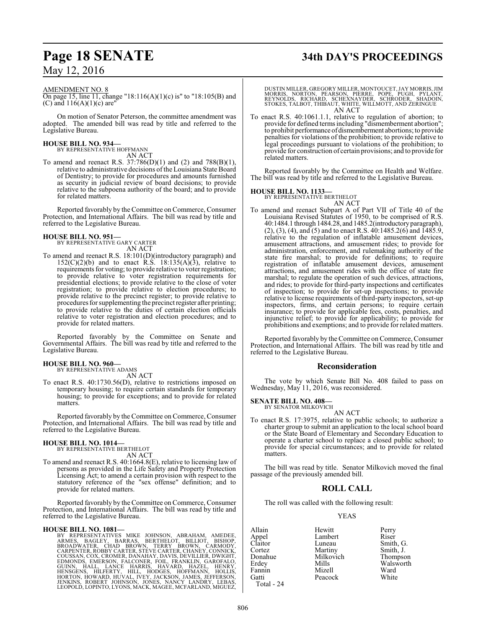#### AMENDMENT NO. 8

On page 15, line 11, change "18:116(A)(1)(c) is" to "18:105(B) and (C) and  $116(A)(1)(c)$  are"

On motion of Senator Peterson, the committee amendment was adopted. The amended bill was read by title and referred to the Legislative Bureau.

# **HOUSE BILL NO. 934—** BY REPRESENTATIVE HOFFMANN

AN ACT

To amend and reenact R.S. 37:786(D)(1) and (2) and 788(B)(1), relative to administrative decisions of the Louisiana State Board of Dentistry; to provide for procedures and amounts furnished as security in judicial review of board decisions; to provide relative to the subpoena authority of the board; and to provide for related matters.

Reported favorably by the Committee on Commerce, Consumer Protection, and International Affairs. The bill was read by title and referred to the Legislative Bureau.

#### **HOUSE BILL NO. 951—**

BY REPRESENTATIVE GARY CARTER AN ACT

To amend and reenact R.S. 18:101(D)(introductory paragraph) and  $152(C)(2)(b)$  and to enact R.S.  $18:135(A)(3)$ , relative to requirements for voting; to provide relative to voter registration; to provide relative to voter registration requirements for presidential elections; to provide relative to the close of voter registration; to provide relative to election procedures; to provide relative to the precinct register; to provide relative to procedures for supplementing the precinct register after printing; to provide relative to the duties of certain election officials relative to voter registration and election procedures; and to provide for related matters.

Reported favorably by the Committee on Senate and Governmental Affairs. The bill was read by title and referred to the Legislative Bureau.

## **HOUSE BILL NO. 960—** BY REPRESENTATIVE ADAMS

AN ACT

To enact R.S. 40:1730.56(D), relative to restrictions imposed on temporary housing; to require certain standards for temporary housing; to provide for exceptions; and to provide for related matters.

Reported favorably by the Committee on Commerce, Consumer Protection, and International Affairs. The bill was read by title and referred to the Legislative Bureau.

## **HOUSE BILL NO. 1014—** BY REPRESENTATIVE BERTHELOT

AN ACT

To amend and reenact R.S. 40:1664.8(E), relative to licensing law of persons as provided in the Life Safety and Property Protection Licensing Act; to amend a certain provision with respect to the statutory reference of the "sex offense" definition; and to provide for related matters.

Reported favorably by the Committee on Commerce, Consumer Protection, and International Affairs. The bill was read by title and referred to the Legislative Bureau.

HOUSE BILL NO. 1081—<br>
BY REPRESENTATIVES MIKE JOHNSON, ABRAHAM, AMEDEE,<br>
ARMES, BAGLEY, BARRAS, BERTHELOT, BILLIOT, BISHOP,<br>
BROADWATER, CHAD BROWN, TERRY BROWN, CARMODY,<br>
CARPENTER, ROBBY CARTER, STEVE CARTER, CHANEY, CON LEOPOLD, LOPINTO, LYONS, MACK, MAGEE, MCFARLAND, MIGUEZ,

# **Page 18 SENATE 34th DAY'S PROCEEDINGS**

DUSTIN MILLER, GREGORY MILLER, MONTOUCET,JAY MORRIS,JIM MORRIS, NORTON, PEARSON, PIERRE, POPE, PUGH, PYLANT, REYNOLDS, RICHARD, SCHEXNAYDER, SCHRODER, SHADOIN, STOKES, TALBOT, THIBAUT, WHITE, WILLMOTT, AND ZERINGUE AN ACT

To enact R.S. 40:1061.1.1, relative to regulation of abortion; to provide for defined termsincluding "dismemberment abortion"; to prohibit performance ofdismemberment abortions; to provide penalties for violations of the prohibition; to provide relative to legal proceedings pursuant to violations of the prohibition; to provide for construction of certain provisions; and to provide for related matters.

Reported favorably by the Committee on Health and Welfare. The bill was read by title and referred to the Legislative Bureau.

#### **HOUSE BILL NO. 1133—**

BY REPRESENTATIVE BERTHELOT

AN ACT To amend and reenact Subpart A of Part VII of Title 40 of the Louisiana Revised Statutes of 1950, to be comprised of R.S. 40:1484.1 through 1484.28, and 1485.2(introductoryparagraph),  $(2)$ ,  $(3)$ ,  $(4)$ , and  $(5)$  and to enact R.S.  $40:1485.2(6)$  and  $1485.9$ , relative to the regulation of inflatable amusement devices, amusement attractions, and amusement rides; to provide for administration, enforcement, and rulemaking authority of the state fire marshal; to provide for definitions; to require registration of inflatable amusement devices, amusement attractions, and amusement rides with the office of state fire marshal; to regulate the operation of such devices, attractions, and rides; to provide for third-party inspections and certificates of inspection; to provide for set-up inspections; to provide relative to license requirements of third-party inspectors, set-up inspectors, firms, and certain persons; to require certain insurance; to provide for applicable fees, costs, penalties, and injunctive relief; to provide for applicability; to provide for prohibitions and exemptions; and to provide for related matters.

Reported favorably by the Committee on Commerce, Consumer Protection, and International Affairs. The bill was read by title and referred to the Legislative Bureau.

#### **Reconsideration**

The vote by which Senate Bill No. 408 failed to pass on Wednesday, May 11, 2016, was reconsidered.

#### **SENATE BILL NO. 408—**

BY SENATOR MILKOVICH AN ACT

To enact R.S. 17:3975, relative to public schools; to authorize a charter group to submit an application to the local school board or the State Board of Elementary and Secondary Education to operate a charter school to replace a closed public school; to provide for special circumstances; and to provide for related matters.

The bill was read by title. Senator Milkovich moved the final passage of the previously amended bill.

### **ROLL CALL**

The roll was called with the following result:

#### YEAS

Allain Hewitt Perry Appel Lambert<br>Claitor Luneau Claitor Luneau Smith, G.<br>Cortez Martiny Smith, J. Cortez **Martiny** Smith, J.<br>
Donahue Milkovich Thompson Donahue Milkovich<br>Erdey Mills Mills Walsworth<br>
Mizell Ward Fannin Mizell Ward<br>Gatti Peacock White Gatti Peacock

Total - 24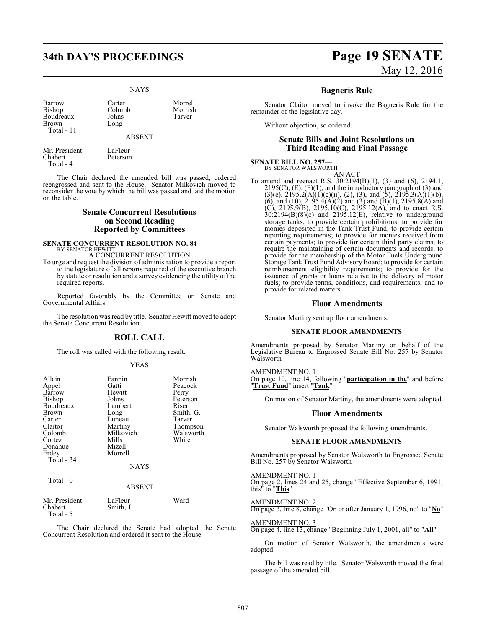#### NAYS

Barrow Carter Morrell<br>Bishop Colomb Morrish Bishop Colomb Morrisl<br>Boudreaux Johns Tarver Boudreaux Johns<br>Brown Long Brown Total - 11

ABSENT

Mr. President LaFleur<br>Chabert Petersor Total - 4

Peterson The Chair declared the amended bill was passed, ordered

reengrossed and sent to the House. Senator Milkovich moved to reconsider the vote by which the bill was passed and laid the motion on the table.

#### **Senate Concurrent Resolutions on Second Reading Reported by Committees**

## **SENATE CONCURRENT RESOLUTION NO. 84––**<br>BY SENATOR HEWITT

A CONCURRENT RESOLUTION

To urge and request the division of administration to provide a report to the legislature of all reports required of the executive branch by statute or resolution and a survey evidencing the utility of the required reports.

Reported favorably by the Committee on Senate and Governmental Affairs.

The resolution was read by title. Senator Hewitt moved to adopt the Senate Concurrent Resolution.

#### **ROLL CALL**

The roll was called with the following result:

#### YEAS

| Allain        | Fannin        | Morrish   |
|---------------|---------------|-----------|
| Appel         | Gatti         | Peacock   |
| Barrow        | Hewitt        | Perry     |
| Bishop        | Johns         | Peterson  |
| Boudreaux     | Lambert       | Riser     |
| Brown         | Long          | Smith, G. |
| Carter        | Luneau        | Tarver    |
| Claitor       | Martiny       | Thompson  |
| Colomb        | Milkovich     | Walsworth |
| Cortez        | Mills         | White     |
| Donahue       | Mizell        |           |
| Erdey         | Morrell       |           |
| Total - 34    |               |           |
|               | <b>NAYS</b>   |           |
| Total - 0     |               |           |
|               | <b>ABSENT</b> |           |
| Mr. President | LaFleur       | Ward      |
| Chabert       | Smith, J.     |           |
| Total - 5     |               |           |

The Chair declared the Senate had adopted the Senate Concurrent Resolution and ordered it sent to the House.

# **34th DAY'S PROCEEDINGS Page 19 SENATE** May 12, 2016

### **Bagneris Rule**

Senator Claitor moved to invoke the Bagneris Rule for the remainder of the legislative day.

Without objection, so ordered.

#### **Senate Bills and Joint Resolutions on Third Reading and Final Passage**

#### **SENATE BILL NO. 257—**

BY SENATOR WALSWORTH

AN ACT To amend and reenact R.S.  $30:2194(B)(1)$ , (3) and (6), 2194.1,  $2195(C)$ ,  $(E)$ ,  $(F)(1)$ , and the introductory paragraph of  $(3)$  and  $(3)(e)$ ,  $2195.2(A)(1)(c)(ii)$ ,  $(2)$ ,  $(3)$ , and  $(5)$ ,  $2195.3(A)(1)(b)$ , (6), and (10),  $2195.4(A)(2)$  and (3) and (B)(1),  $2195.8(A)$  and (C), 2195.9(B), 2195.10(C), 2195.12(A), and to enact R.S.  $30:2194(B)(8)(c)$  and  $2195.12(E)$ , relative to underground storage tanks; to provide certain prohibitions; to provide for monies deposited in the Tank Trust Fund; to provide certain reporting requirements; to provide for monies received from certain payments; to provide for certain third party claims; to require the maintaining of certain documents and records; to provide for the membership of the Motor Fuels Underground Storage Tank Trust Fund AdvisoryBoard; to provide for certain reimbursement eligibility requirements; to provide for the issuance of grants or loans relative to the delivery of motor fuels; to provide terms, conditions, and requirements; and to provide for related matters.

#### **Floor Amendments**

Senator Martiny sent up floor amendments.

#### **SENATE FLOOR AMENDMENTS**

Amendments proposed by Senator Martiny on behalf of the Legislative Bureau to Engrossed Senate Bill No. 257 by Senator Walsworth

AMENDMENT NO. 1 On page 10, line 14, following "**participation in the**" and before "**Trust Fund**" insert "**Tank**"

On motion of Senator Martiny, the amendments were adopted.

#### **Floor Amendments**

Senator Walsworth proposed the following amendments.

#### **SENATE FLOOR AMENDMENTS**

Amendments proposed by Senator Walsworth to Engrossed Senate Bill No. 257 by Senator Walsworth

AMENDMENT NO. 1 On page 2, lines 24 and 25, change "Effective September 6, 1991, this" to "**This**"

AMENDMENT NO. 2 On page 3, line 8, change "On or after January 1, 1996, no" to "**No**"

AMENDMENT NO. 3 On page 4, line 13, change "Beginning July 1, 2001, all" to "**All**"

On motion of Senator Walsworth, the amendments were adopted.

The bill was read by title. Senator Walsworth moved the final passage of the amended bill.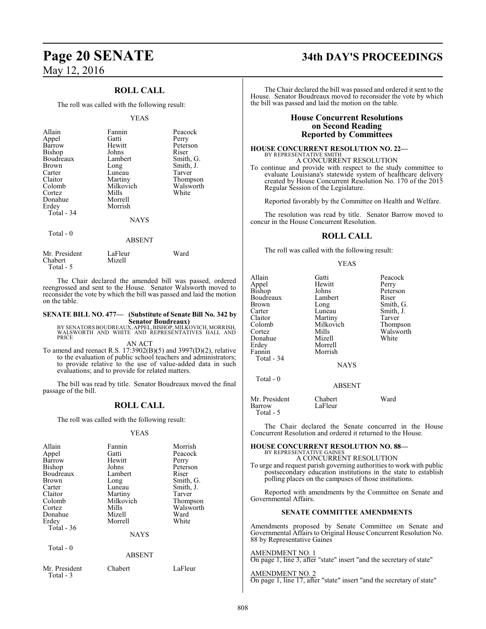## **ROLL CALL**

The roll was called with the following result:

#### YEAS

| Allain<br>Appel<br>Barrow<br>Bishop<br>Boudreaux<br><b>Brown</b><br>Carter<br>Claitor<br>Colomb<br>Cortez<br>Donahue<br>Erdey | Fannin<br>Gatti<br>Hewitt<br>Johns<br>Lambert<br>Long<br>Luneau<br>Martiny<br>Milkovich<br>Mills<br>Morrell<br>Morrish | Peacock<br>Perry<br>Peterson<br>Riser<br>Smith, G.<br>Smith, J.<br>Tarver<br>Thompson<br>Walsworth<br>White |
|-------------------------------------------------------------------------------------------------------------------------------|------------------------------------------------------------------------------------------------------------------------|-------------------------------------------------------------------------------------------------------------|
| Total - 34                                                                                                                    | <b>NAYS</b>                                                                                                            |                                                                                                             |
| Total - 0                                                                                                                     | ABSENT                                                                                                                 |                                                                                                             |

| Mr. President | LaFleur | Ward |
|---------------|---------|------|
| Chabert       | Mizell  |      |
| Total - 5     |         |      |

The Chair declared the amended bill was passed, ordered reengrossed and sent to the House. Senator Walsworth moved to reconsider the vote by which the bill was passed and laid the motion on the table.

## **SENATE BILL NO. 477— (Substitute of Senate Bill No. 342 by**

**Senator Boudreaux)<br>BY SENATORS BOUDREAUX, APPEL, BISHOP, MILKOVICH, MORRISH,<br>WALSWORTH AND WHITE AND REPRESENTATIVES HALL AND** PRICE

AN ACT

To amend and reenact R.S. 17:3902(B)(5) and 3997(D)(2), relative to the evaluation of public school teachers and administrators; to provide relative to the use of value-added data in such evaluations; and to provide for related matters.

The bill was read by title. Senator Boudreaux moved the final passage of the bill.

### **ROLL CALL**

The roll was called with the following result:

#### YEAS

| Allain<br>Appel<br>Barrow<br><b>Bishop</b><br>Boudreaux<br>Brown<br>Carter<br>Claitor | Fannin<br>Gatti<br>Hewitt<br>Johns<br>Lambert<br>Long<br>Luneau<br>Martiny | Morrish<br>Peacock<br>Perry<br>Peterson<br>Riser<br>Smith, G.<br>Smith, J.<br>Tarver |
|---------------------------------------------------------------------------------------|----------------------------------------------------------------------------|--------------------------------------------------------------------------------------|
| Colomb                                                                                | Milkovich                                                                  | Thompson                                                                             |
| Cortez                                                                                | Mills                                                                      | Walsworth                                                                            |
| Donahue                                                                               | Mizell                                                                     | Ward                                                                                 |
| Erdey                                                                                 | Morrell                                                                    | White                                                                                |
| Total $-36$                                                                           |                                                                            |                                                                                      |
|                                                                                       | <b>NAYS</b>                                                                |                                                                                      |
| Total - 0                                                                             | <b>ABSENT</b>                                                              |                                                                                      |
| Mr. President<br>Total - 3                                                            | Chabert                                                                    | LaFleur                                                                              |

# **Page 20 SENATE 34th DAY'S PROCEEDINGS**

The Chair declared the bill was passed and ordered it sent to the House. Senator Boudreaux moved to reconsider the vote by which the bill was passed and laid the motion on the table.

#### **House Concurrent Resolutions on Second Reading Reported by Committees**

#### **HOUSE CONCURRENT RESOLUTION NO. 22—** BY REPRESENTATIVE SMITH

A CONCURRENT RESOLUTION To continue and provide with respect to the study committee to evaluate Louisiana's statewide system of healthcare delivery created by House Concurrent Resolution No. 170 of the 2015 Regular Session of the Legislature.

Reported favorably by the Committee on Health and Welfare.

The resolution was read by title. Senator Barrow moved to concur in the House Concurrent Resolution.

### **ROLL CALL**

The roll was called with the following result:

#### YEAS

| Allain<br>Appel<br>Bishop<br>Boudreaux<br>Brown<br>Carter<br>Claitor<br>Colomb<br>Cortez<br>Donahue<br>Erdey<br>Fannin<br>Total - 34 | Gatti<br>Hewitt<br>Johns<br>Lambert<br>Long<br>Luneau<br>Martiny<br>Milkovich<br>Mills<br>Mizell<br>Morrell<br>Morrish | Peacock<br>Perry<br>Peterson<br>Riser<br>Smith, G.<br>Smith, J.<br>Tarver<br>Thompson<br>Walsworth<br>White |
|--------------------------------------------------------------------------------------------------------------------------------------|------------------------------------------------------------------------------------------------------------------------|-------------------------------------------------------------------------------------------------------------|
|                                                                                                                                      | <b>NAYS</b>                                                                                                            |                                                                                                             |
| Total - 0                                                                                                                            | <b>ABSENT</b>                                                                                                          |                                                                                                             |
| Mr. President<br>Barrow                                                                                                              | Chabert<br>LaFleur                                                                                                     | Ward                                                                                                        |

Total - 5

The Chair declared the Senate concurred in the House Concurrent Resolution and ordered it returned to the House.

#### **HOUSE CONCURRENT RESOLUTION NO. 88—** BY REPRESENTATIVE GAINES

A CONCURRENT RESOLUTION

To urge and request parish governing authorities to work with public postsecondary education institutions in the state to establish polling places on the campuses of those institutions.

Reported with amendments by the Committee on Senate and Governmental Affairs.

#### **SENATE COMMITTEE AMENDMENTS**

Amendments proposed by Senate Committee on Senate and Governmental Affairs to Original House Concurrent Resolution No. 88 by Representative Gaines

## AMENDMENT NO. 1

On page 1, line 3, after "state" insert "and the secretary of state"

AMENDMENT NO. 2 On page 1, line 17, after "state" insert "and the secretary of state"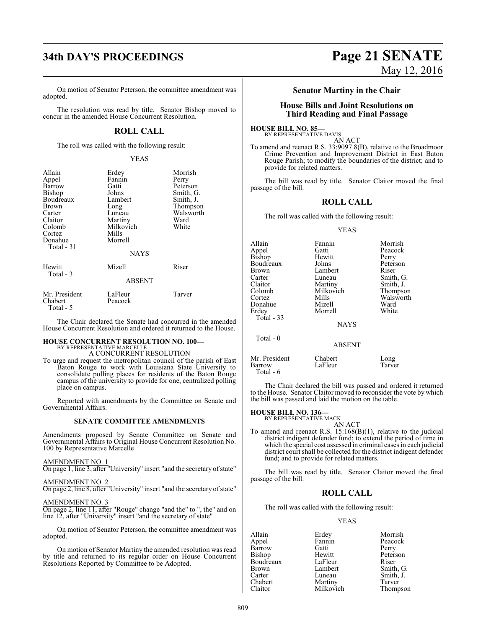## **34th DAY'S PROCEEDINGS Page 21 SENATE**

On motion of Senator Peterson, the committee amendment was adopted.

The resolution was read by title. Senator Bishop moved to concur in the amended House Concurrent Resolution.

## **ROLL CALL**

The roll was called with the following result:

#### YEAS

| Allain<br>Appel<br>Barrow<br><b>Bishop</b><br>Boudreaux<br>Brown<br>Carter<br>Claitor<br>Colomb<br>Cortez<br>Donahue<br>Total - 31 | Erdey<br>Fannin<br>Gatti<br>Johns<br>Lambert<br>Long<br>Luneau<br>Martiny<br>Milkovich<br>Mills<br>Morrell<br><b>NAYS</b> | Morrish<br>Perry<br>Peterson<br>Smith, G.<br>Smith, J.<br>Thompson<br>Walsworth<br>Ward<br>White |
|------------------------------------------------------------------------------------------------------------------------------------|---------------------------------------------------------------------------------------------------------------------------|--------------------------------------------------------------------------------------------------|
| Hewitt<br>Total - 3                                                                                                                | Mizell<br>ABSENT                                                                                                          | Riser                                                                                            |
| Mr. President<br>Chabert<br>Total - 5                                                                                              | LaFleur<br>Peacock                                                                                                        | Tarver                                                                                           |

The Chair declared the Senate had concurred in the amended House Concurrent Resolution and ordered it returned to the House.

#### **HOUSE CONCURRENT RESOLUTION NO. 100—** BY REPRESENTATIVE MARCELLE

A CONCURRENT RESOLUTION

To urge and request the metropolitan council of the parish of East Baton Rouge to work with Louisiana State University to consolidate polling places for residents of the Baton Rouge campus of the university to provide for one, centralized polling place on campus.

Reported with amendments by the Committee on Senate and Governmental Affairs.

#### **SENATE COMMITTEE AMENDMENTS**

Amendments proposed by Senate Committee on Senate and Governmental Affairs to Original House Concurrent Resolution No. 100 by Representative Marcelle

AMENDMENT NO. 1

On page 1, line 3, after "University" insert "and the secretary of state"

AMENDMENT NO. 2

On page 2, line 8, after "University" insert "and the secretary of state"

AMENDMENT NO. 3

On page 2, line 11, after "Rouge" change "and the" to ", the" and on line 12, after "University" insert "and the secretary of state"

On motion of Senator Peterson, the committee amendment was adopted.

On motion of Senator Martiny the amended resolution was read by title and returned to its regular order on House Concurrent Resolutions Reported by Committee to be Adopted.

# May 12, 2016

#### **Senator Martiny in the Chair**

#### **House Bills and Joint Resolutions on Third Reading and Final Passage**

**HOUSE BILL NO. 85—** BY REPRESENTATIVE DAVIS

AN ACT To amend and reenact R.S. 33:9097.8(B), relative to the Broadmoor

Crime Prevention and Improvement District in East Baton Rouge Parish; to modify the boundaries of the district; and to provide for related matters.

The bill was read by title. Senator Claitor moved the final passage of the bill.

## **ROLL CALL**

The roll was called with the following result:

#### YEAS

| Allain<br>Appel<br>Bishop<br>Boudreaux<br>Brown<br>Carter<br>Claitor<br>Colomb<br>Cortez<br>Donahue<br>Erdev<br>Total - 33 | Fannin<br>Gatti<br>Hewitt<br>Johns<br>Lambert<br>Luneau<br>Martiny<br>Milkovich<br>Mills<br>Mizell<br>Morrell<br><b>NAYS</b> | Morrish<br>Peacock<br>Perry<br>Peterson<br>Riser<br>Smith, G.<br>Smith, J.<br>Thompson<br>Walsworth<br>Ward<br>White |
|----------------------------------------------------------------------------------------------------------------------------|------------------------------------------------------------------------------------------------------------------------------|----------------------------------------------------------------------------------------------------------------------|
| Total $-0$                                                                                                                 | <b>ABSENT</b>                                                                                                                |                                                                                                                      |
| Mr. President<br>Barrow                                                                                                    | Chabert<br>LaFleur                                                                                                           | Long<br>Tarver                                                                                                       |

The Chair declared the bill was passed and ordered it returned to the House. Senator Claitor moved to reconsider the vote by which the bill was passed and laid the motion on the table.

#### **HOUSE BILL NO. 136—**

Total - 6

BY REPRESENTATIVE MACK

AN ACT To amend and reenact R.S. 15:168(B)(1), relative to the judicial district indigent defender fund; to extend the period of time in which the special cost assessed in criminal cases in each judicial district court shall be collected for the district indigent defender fund; and to provide for related matters.

The bill was read by title. Senator Claitor moved the final passage of the bill.

## **ROLL CALL**

The roll was called with the following result:

#### YEAS

| Allain        | Erdey     | Morrish   |
|---------------|-----------|-----------|
| Appel         | Fannin    | Peacock   |
| Barrow        | Gatti     | Perry     |
| <b>Bishop</b> | Hewitt    | Peterson  |
| Boudreaux     | LaFleur   | Riser     |
| <b>Brown</b>  | Lambert   | Smith, G. |
| Carter        | Luneau    | Smith, J. |
| Chabert       | Martiny   | Tarver    |
| Claitor       | Milkovich | Thompson  |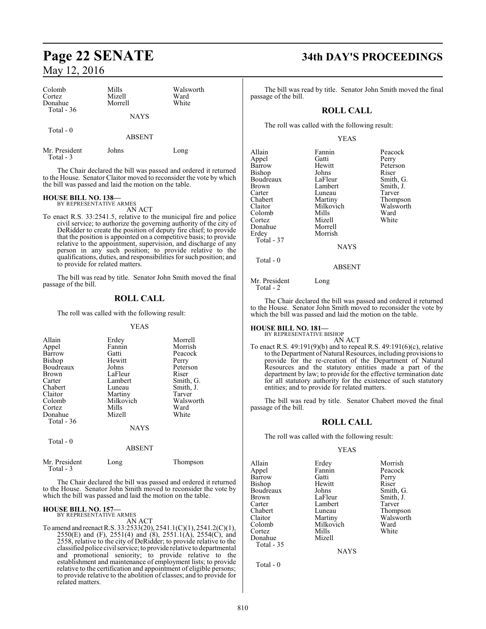| Colomb<br>Cortez           | Mills<br>Mizell | Walsworth<br>Ward |
|----------------------------|-----------------|-------------------|
| Donahue<br>Total $-36$     | Morrell         | White             |
|                            | <b>NAYS</b>     |                   |
| Total $-0$                 | <b>ABSENT</b>   |                   |
|                            |                 |                   |
| Mr. President<br>Total - 3 | Johns           | Long              |

The Chair declared the bill was passed and ordered it returned to the House. Senator Claitor moved to reconsider the vote by which the bill was passed and laid the motion on the table.

## **HOUSE BILL NO. 138—** BY REPRESENTATIVE ARMES

AN ACT

To enact R.S. 33:2541.5, relative to the municipal fire and police civil service; to authorize the governing authority of the city of DeRidder to create the position of deputy fire chief; to provide that the position is appointed on a competitive basis; to provide relative to the appointment, supervision, and discharge of any person in any such position; to provide relative to the qualifications, duties, and responsibilities for such position; and to provide for related matters.

The bill was read by title. Senator John Smith moved the final passage of the bill.

### **ROLL CALL**

The roll was called with the following result:

#### YEAS

| Allain<br>Appel<br>Barrow<br>Bishop<br>Boudreaux<br><b>Brown</b><br>Carter<br>Chabert<br>Claitor<br>Colomb<br>Cortez<br>Donahue | Erdey<br>Fannin<br>Gatti<br>Hewitt<br>Johns<br>LaFleur<br>Lambert<br>Luneau<br>Martiny<br>Milkovich<br>Mills<br>Mizell | Morrell<br>Morrish<br>Peacock<br>Perry<br>Peterson<br>Riser<br>Smith, G.<br>Smith, J.<br>Tarver<br>Walsworth<br>Ward<br>White |
|---------------------------------------------------------------------------------------------------------------------------------|------------------------------------------------------------------------------------------------------------------------|-------------------------------------------------------------------------------------------------------------------------------|
| Total - 36                                                                                                                      |                                                                                                                        |                                                                                                                               |
|                                                                                                                                 | <b>NAYS</b>                                                                                                            |                                                                                                                               |
| Total - 0                                                                                                                       | <b>ABSENT</b>                                                                                                          |                                                                                                                               |

 Total - 3 The Chair declared the bill was passed and ordered it returned to the House. Senator John Smith moved to reconsider the vote by which the bill was passed and laid the motion on the table.

Mr. President Long Thompson

#### **HOUSE BILL NO. 157—**

BY REPRESENTATIVE ARMES AN ACT

To amend and reenact R.S. 33:2533(20), 2541.1(C)(1), 2541.2(C)(1), 2550(E) and (F), 2551(4) and (8), 2551.1(A), 2554(C), and 2558, relative to the city of DeRidder; to provide relative to the classified police civil service; to provide relative to departmental and promotional seniority; to provide relative to the establishment and maintenance of employment lists; to provide relative to the certification and appointment of eligible persons; to provide relative to the abolition of classes; and to provide for related matters.

## **Page 22 SENATE 34th DAY'S PROCEEDINGS**

The bill was read by title. Senator John Smith moved the final passage of the bill.

#### **ROLL CALL**

The roll was called with the following result:

#### YEAS

| Allain     | Fannin        | Peacock   |
|------------|---------------|-----------|
| Appel      | Gatti         | Perry     |
| Barrow     | Hewitt        | Peterson  |
| Bishop     | Johns         | Riser     |
| Boudreaux  | LaFleur       | Smith, G. |
| Brown      | Lambert       | Smith, J. |
| Carter     | Luneau        | Tarver    |
| Chabert    | Martiny       | Thompson  |
| Claitor    | Milkovich     | Walsworth |
| Colomb     | Mills         | Ward      |
| Cortez     | Mizell        | White     |
| Donahue    | Morrell       |           |
| Erdey      | Morrish       |           |
| Total - 37 |               |           |
|            | <b>NAYS</b>   |           |
| Total - 0  |               |           |
|            | <b>ABSENT</b> |           |
|            |               |           |

Mr. President Long Total - 2

The Chair declared the bill was passed and ordered it returned to the House. Senator John Smith moved to reconsider the vote by which the bill was passed and laid the motion on the table.

# **HOUSE BILL NO. 181—** BY REPRESENTATIVE BISHOP

AN ACT

To enact R.S. 49:191(9)(b) and to repeal R.S. 49:191(6)(c), relative to the Department of Natural Resources, including provisions to provide for the re-creation of the Department of Natural Resources and the statutory entities made a part of the department by law; to provide for the effective termination date for all statutory authority for the existence of such statutory entities; and to provide for related matters.

The bill was read by title. Senator Chabert moved the final passage of the bill.

#### **ROLL CALL**

The roll was called with the following result:

#### YEAS

Allain Erdey Morrish Appel Fannin Peaco<br>Barrow Gatti Perry Barrow Gatti Perry<br>Bishop Hewitt Riser Bishop Hewitt Riser<br>Boudreaux Johns Smith, G. Boudreaux Johns<br>Brown LaFleur Brown LaFleur Smith, J.<br>Carter Lambert Tarver Carter Lambert<br>Chabert Luneau Chabert Luneau Thompson<br>Claitor Martiny Walsworth Claitor Martiny Walsworth Colomb Milkovich Ward Cortez Mills White Donahue Mizell Total - 35

NAYS

Total - 0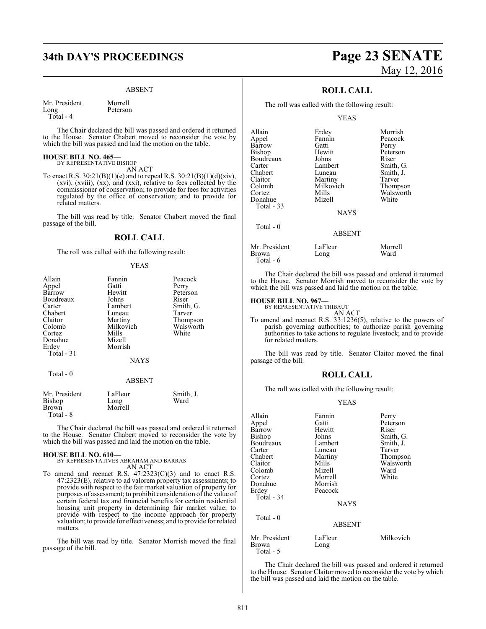## **34th DAY'S PROCEEDINGS Page 23 SENATE**

#### ABSENT

Mr. President Morrell Long Peterson Total - 4

The Chair declared the bill was passed and ordered it returned to the House. Senator Chabert moved to reconsider the vote by which the bill was passed and laid the motion on the table.

#### **HOUSE BILL NO. 465—** BY REPRESENTATIVE BISHOP

AN ACT

To enact R.S.  $30:21(B)(1)(e)$  and to repeal R.S.  $30:21(B)(1)(d)(xiv)$ , (xvi), (xviii), (xx), and (xxi), relative to fees collected by the commissioner of conservation; to provide for fees for activities regulated by the office of conservation; and to provide for related matters.

The bill was read by title. Senator Chabert moved the final passage of the bill.

#### **ROLL CALL**

The roll was called with the following result:

#### YEAS

| Allain<br>Appel<br>Barrow                           | Fannin<br>Gatti<br>Hewitt                          | Peacock<br>Perry<br>Peterson                          |
|-----------------------------------------------------|----------------------------------------------------|-------------------------------------------------------|
| Boudreaux<br>Carter<br>Chabert<br>Claitor           | Johns<br>Lambert<br>Luneau<br>Martiny<br>Milkovich | Riser<br>Smith, G.<br>Tarver<br>Thompson<br>Walsworth |
| Colomb<br>Cortez<br>Donahue<br>Erdey<br>Total $-31$ | Mills<br>Mizell<br>Morrish<br>NAYS                 | White                                                 |
| Total - 0                                           | <b>ABSENT</b>                                      |                                                       |
| Mr. President<br>Bishop<br>Brown<br>Total - 8       | LaFleur<br>Long<br>Morrell                         | Smith, J.<br>Ward                                     |

The Chair declared the bill was passed and ordered it returned to the House. Senator Chabert moved to reconsider the vote by which the bill was passed and laid the motion on the table.

#### **HOUSE BILL NO. 610—**

BY REPRESENTATIVES ABRAHAM AND BARRAS AN ACT

To amend and reenact R.S.  $47:2323(C)(3)$  and to enact R.S. 47:2323(E), relative to ad valorem property tax assessments; to provide with respect to the fair market valuation of property for purposes of assessment; to prohibit consideration of the value of certain federal tax and financial benefits for certain residential housing unit property in determining fair market value; to provide with respect to the income approach for property valuation; to provide for effectiveness; and to provide for related matters.

The bill was read by title. Senator Morrish moved the final passage of the bill.

# May 12, 2016

## **ROLL CALL**

The roll was called with the following result:

#### YEAS

| Allain            | Erdey         | Morrish   |
|-------------------|---------------|-----------|
| Appel             | Fannin        | Peacock   |
| Barrow            | Gatti         | Perry     |
| Bishop            | Hewitt        | Peterson  |
| Boudreaux         | Johns         | Riser     |
| Carter            | Lambert       | Smith, G. |
| Chabert           | Luneau        | Smith, J. |
| Claitor           | Martiny       | Tarver    |
| Colomb            | Milkovich     | Thompson  |
| Cortez            | Mills         | Walsworth |
| Donahue           | Mizell        | White     |
| <b>Total - 33</b> |               |           |
|                   | <b>NAYS</b>   |           |
| Total $-0$        |               |           |
|                   | <b>ABSENT</b> |           |
| Mr. President     | LaFleur       | Morrell   |
| Brown             | Long          | Ward      |
|                   |               |           |

The Chair declared the bill was passed and ordered it returned to the House. Senator Morrish moved to reconsider the vote by which the bill was passed and laid the motion on the table.

#### **HOUSE BILL NO. 967—**

**Brown** Total - 6

> BY REPRESENTATIVE THIBAUT AN ACT

To amend and reenact R.S. 33:1236(5), relative to the powers of parish governing authorities; to authorize parish governing authorities to take actions to regulate livestock; and to provide for related matters.

The bill was read by title. Senator Claitor moved the final passage of the bill.

#### **ROLL CALL**

The roll was called with the following result:

#### YEAS

| Allain        | Fannin        | Perry     |
|---------------|---------------|-----------|
| Appel         | Gatti         | Peterson  |
| Barrow        | Hewitt        | Riser     |
| Bishop        | Johns         | Smith, G. |
| Boudreaux     | Lambert       | Smith, J. |
| Carter        | Luneau        | Tarver    |
| Chabert       | Martiny       | Thompson  |
| Claitor       | Mills         | Walsworth |
| Colomb        | Mizell        | Ward      |
| Cortez        | Morrell       | White     |
| Donahue       | Morrish       |           |
| Erdev         | Peacock       |           |
| Total - 34    |               |           |
|               | <b>NAYS</b>   |           |
| Total - 0     |               |           |
|               | <b>ABSENT</b> |           |
| Mr. President | LaFleur       | Milkovich |
| Brown         | Long          |           |
| Total - 5     |               |           |

The Chair declared the bill was passed and ordered it returned to the House. Senator Claitor moved to reconsider the vote by which the bill was passed and laid the motion on the table.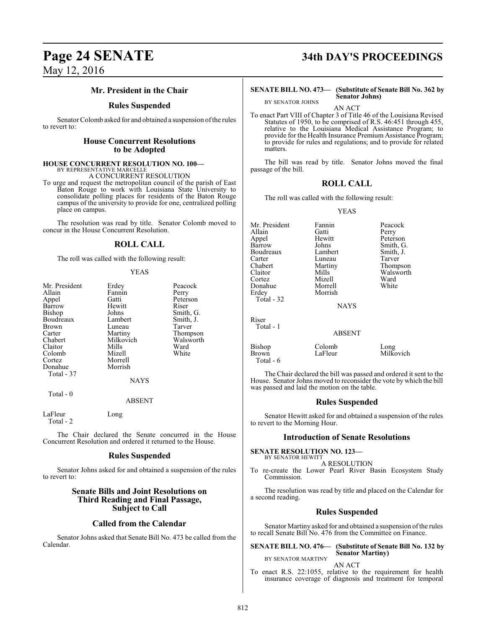## **Mr. President in the Chair**

#### **Rules Suspended**

Senator Colomb asked for and obtained a suspension of the rules to revert to:

#### **House Concurrent Resolutions to be Adopted**

#### **HOUSE CONCURRENT RESOLUTION NO. 100—** BY REPRESENTATIVE MARCELLE

A CONCURRENT RESOLUTION

To urge and request the metropolitan council of the parish of East Baton Rouge to work with Louisiana State University to consolidate polling places for residents of the Baton Rouge campus of the university to provide for one, centralized polling place on campus.

The resolution was read by title. Senator Colomb moved to concur in the House Concurrent Resolution.

## **ROLL CALL**

The roll was called with the following result:

#### YEAS

| Mr. President<br>Allain<br>Appel<br>Barrow<br><b>Bishop</b><br>Boudreaux<br><b>Brown</b><br>Carter<br>Chabert<br>Claitor<br>Colomb<br>Cortez<br>Donahue<br>Total - 37 | Erdey<br>Fannin<br>Gatti<br>Hewitt<br>Johns<br>Lambert<br>Luneau<br>Martiny<br>Milkovich<br>Mills<br>Mizell<br>Morrell<br>Morrish | Peacock<br>Perry<br>Peterson<br>Riser<br>Smith, G.<br>Smith, J.<br>Tarver<br>Thompson<br>Walsworth<br>Ward<br>White |
|-----------------------------------------------------------------------------------------------------------------------------------------------------------------------|-----------------------------------------------------------------------------------------------------------------------------------|---------------------------------------------------------------------------------------------------------------------|
|                                                                                                                                                                       | <b>NAYS</b>                                                                                                                       |                                                                                                                     |
| Total $-0$                                                                                                                                                            | <b>ARSENT</b>                                                                                                                     |                                                                                                                     |

ABSENT

LaFleur Long Total - 2

The Chair declared the Senate concurred in the House Concurrent Resolution and ordered it returned to the House.

#### **Rules Suspended**

Senator Johns asked for and obtained a suspension of the rules to revert to:

#### **Senate Bills and Joint Resolutions on Third Reading and Final Passage, Subject to Call**

#### **Called from the Calendar**

Senator Johns asked that Senate Bill No. 473 be called from the Calendar.

# **Page 24 SENATE 34th DAY'S PROCEEDINGS**

#### **SENATE BILL NO. 473— (Substitute of Senate Bill No. 362 by Senator Johns)**

BY SENATOR JOHNS

AN ACT

To enact Part VIII of Chapter 3 of Title 46 of the Louisiana Revised Statutes of 1950, to be comprised of R.S. 46:451 through 455, relative to the Louisiana Medical Assistance Program; to provide for the Health Insurance Premium Assistance Program; to provide for rules and regulations; and to provide for related matters.

The bill was read by title. Senator Johns moved the final passage of the bill.

## **ROLL CALL**

The roll was called with the following result:

YEAS

Mr. President Fannin Peacock<br>Allain Gatti Perry Allain Gatti Perry Appel Hewitt Peterson Johns Smith, G.<br>
Lambert Smith, J. Boudreaux Lambert Smith,<br>Carter Luneau Tarver Carter Luneau<br>Chabert Martiny Chabert Martiny Thompson<br>Claitor Mills Walsworth Claitor Mills Walsworth<br>
Cortez Mizell Ward Mizell Ward<br>
Morrell White Donahue<br>Erdey Morrish Total - 32 **NAYS** Riser Total - 1 ABSENT Bishop Colomb Long<br>Brown LaFleur Milko Milkovich

The Chair declared the bill was passed and ordered it sent to the House. Senator Johns moved to reconsider the vote by which the bill was passed and laid the motion on the table.

### **Rules Suspended**

Senator Hewitt asked for and obtained a suspension of the rules to revert to the Morning Hour.

#### **Introduction of Senate Resolutions**

#### **SENATE RESOLUTION NO. 123—** BY SENATOR HEWITT

Total - 6

A RESOLUTION

To re-create the Lower Pearl River Basin Ecosystem Study Commission.

The resolution was read by title and placed on the Calendar for a second reading.

#### **Rules Suspended**

Senator Martiny asked for and obtained a suspension of the rules to recall Senate Bill No. 476 from the Committee on Finance.

**SENATE BILL NO. 476— (Substitute of Senate Bill No. 132 by Senator Martiny)**

#### BY SENATOR MARTINY AN ACT

To enact R.S. 22:1055, relative to the requirement for health insurance coverage of diagnosis and treatment for temporal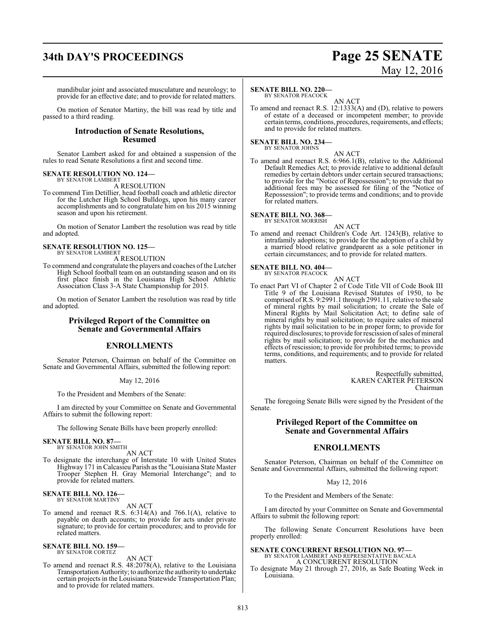# **34th DAY'S PROCEEDINGS Page 25 SENATE**

# May 12, 2016

mandibular joint and associated musculature and neurology; to provide for an effective date; and to provide for related matters.

On motion of Senator Martiny, the bill was read by title and passed to a third reading.

#### **Introduction of Senate Resolutions, Resumed**

Senator Lambert asked for and obtained a suspension of the rules to read Senate Resolutions a first and second time.

#### **SENATE RESOLUTION NO. 124—** BY SENATOR LAMBERT

A RESOLUTION

To commend Tim Detillier, head football coach and athletic director for the Lutcher High School Bulldogs, upon his many career accomplishments and to congratulate him on his 2015 winning season and upon his retirement.

On motion of Senator Lambert the resolution was read by title and adopted.

#### **SENATE RESOLUTION NO. 125—** BY SENATOR LAMBERT

A RESOLUTION

To commend and congratulate the players and coaches of the Lutcher High School football team on an outstanding season and on its first place finish in the Louisiana High School Athletic Association Class 3-A State Championship for 2015.

On motion of Senator Lambert the resolution was read by title and adopted.

### **Privileged Report of the Committee on Senate and Governmental Affairs**

### **ENROLLMENTS**

Senator Peterson, Chairman on behalf of the Committee on Senate and Governmental Affairs, submitted the following report:

May 12, 2016

To the President and Members of the Senate:

I am directed by your Committee on Senate and Governmental Affairs to submit the following report:

The following Senate Bills have been properly enrolled:

## **SENATE BILL NO. 87—**<br>BY SENATOR JOHN SMITH

AN ACT

To designate the interchange of Interstate 10 with United States Highway 171 in Calcasieu Parish as the "Louisiana State Master Trooper Stephen H. Gray Memorial Interchange"; and to provide for related matters.

## **SENATE BILL NO. 126—** BY SENATOR MARTINY

AN ACT

To amend and reenact R.S. 6:314(A) and 766.1(A), relative to payable on death accounts; to provide for acts under private signature; to provide for certain procedures; and to provide for related matters.

### **SENATE BILL NO. 159—**

BY SENATOR CORTEZ

AN ACT

To amend and reenact R.S. 48:2078(A), relative to the Louisiana Transportation Authority; to authorize the authority to undertake certain projects in the Louisiana Statewide Transportation Plan; and to provide for related matters.

#### **SENATE BILL NO. 220—**

BY SENATOR PEACOCK AN ACT

To amend and reenact R.S. 12:1333(A) and (D), relative to powers of estate of a deceased or incompetent member; to provide certain terms, conditions, procedures, requirements, and effects; and to provide for related matters.

**SENATE BILL NO. 234—** BY SENATOR JOHNS

AN ACT

To amend and reenact R.S. 6:966.1(B), relative to the Additional Default Remedies Act; to provide relative to additional default remedies by certain debtors under certain secured transactions; to provide for the "Notice of Repossession"; to provide that no additional fees may be assessed for filing of the "Notice of Repossession"; to provide terms and conditions; and to provide for related matters.

#### **SENATE BILL NO. 368—** BY SENATOR MORRISH

AN ACT

To amend and reenact Children's Code Art. 1243(B), relative to intrafamily adoptions; to provide for the adoption of a child by a married blood relative grandparent as a sole petitioner in certain circumstances; and to provide for related matters.

#### **SENATE BILL NO. 404—** BY SENATOR PEACOCK

AN ACT To enact Part VI of Chapter 2 of Code Title VII of Code Book III Title 9 of the Louisiana Revised Statutes of 1950, to be comprised ofR.S. 9:2991.1 through 2991.11, relative to the sale of mineral rights by mail solicitation; to create the Sale of Mineral Rights by Mail Solicitation Act; to define sale of mineral rights by mail solicitation; to require sales of mineral rights by mail solicitation to be in proper form; to provide for required disclosures; to provide for rescission ofsales ofmineral rights by mail solicitation; to provide for the mechanics and effects of rescission; to provide for prohibited terms; to provide terms, conditions, and requirements; and to provide for related matters.

> Respectfully submitted, KAREN CARTER PETERSON Chairman

The foregoing Senate Bills were signed by the President of the Senate.

## **Privileged Report of the Committee on Senate and Governmental Affairs**

## **ENROLLMENTS**

Senator Peterson, Chairman on behalf of the Committee on Senate and Governmental Affairs, submitted the following report:

#### May 12, 2016

To the President and Members of the Senate:

I am directed by your Committee on Senate and Governmental Affairs to submit the following report:

The following Senate Concurrent Resolutions have been properly enrolled:

**SENATE CONCURRENT RESOLUTION NO. 97—** BY SENATOR LAMBERT AND REPRESENTATIVE BACALA A CONCURRENT RESOLUTION

To designate May 21 through 27, 2016, as Safe Boating Week in Louisiana.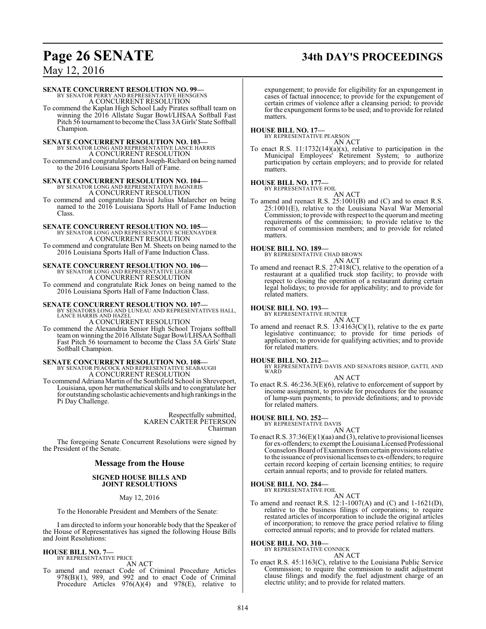# **Page 26 SENATE 34th DAY'S PROCEEDINGS**

May 12, 2016

#### **SENATE CONCURRENT RESOLUTION NO. 99—**

BY SENATOR PERRY AND REPRESENTATIVE HENSGENS A CONCURRENT RESOLUTION

To commend the Kaplan High School Lady Pirates softball team on winning the 2016 Allstate Sugar Bowl/LHSAA Softball Fast Pitch 56 tournament to become the Class 3A Girls' State Softball Champion.

## **SENATE CONCURRENT RESOLUTION NO. 103—** BY SENATOR LONG AND REPRESENTATIVE LANCE HARRIS

A CONCURRENT RESOLUTION

To commend and congratulate Janet Joseph-Richard on being named to the 2016 Louisiana Sports Hall of Fame.

## **SENATE CONCURRENT RESOLUTION NO. 104—** BY SENATOR LONG AND REPRESENTATIVE BAGNERIS

A CONCURRENT RESOLUTION

To commend and congratulate David Julius Malarcher on being named to the 2016 Louisiana Sports Hall of Fame Induction Class.

## **SENATE CONCURRENT RESOLUTION NO. 105—** BY SENATOR LONG AND REPRESENTATIVE SCHEXNAYDER

A CONCURRENT RESOLUTION To commend and congratulate Ben M. Sheets on being named to the 2016 Louisiana Sports Hall of Fame Induction Class.

#### **SENATE CONCURRENT RESOLUTION NO. 106—** BY SENATOR LONG AND REPRESENTATIVE LEGER A CONCURRENT RESOLUTION

To commend and congratulate Rick Jones on being named to the 2016 Louisiana Sports Hall of Fame Induction Class.

**SENATE CONCURRENT RESOLUTION NO. 107—**<br>BY SENATORS LONG AND LUNEAU AND REPRESENTATIVES HALL,<br>LANCE HARRIS AND HAZEL

A CONCURRENT RESOLUTION

To commend the Alexandria Senior High School Trojans softball teamon winning the 2016 Allstate Sugar Bowl/LHSAA Softball Fast Pitch 56 tournament to become the Class 5A Girls' State Softball Champion.

## **SENATE CONCURRENT RESOLUTION NO. 108—** BY SENATOR PEACOCK AND REPRESENTATIVE SEABAUGH A CONCURRENT RESOLUTION

To commend Adriana Martin of the Southfield School in Shreveport, Louisiana, upon her mathematical skills and to congratulate her for outstanding scholastic achievements and high rankings in the Pi Day Challenge.

> Respectfully submitted, KAREN CARTER PETERSON Chairman

The foregoing Senate Concurrent Resolutions were signed by the President of the Senate.

### **Message from the House**

#### **SIGNED HOUSE BILLS AND JOINT RESOLUTIONS**

May 12, 2016

To the Honorable President and Members of the Senate:

I am directed to inform your honorable body that the Speaker of the House of Representatives has signed the following House Bills and Joint Resolutions:

#### **HOUSE BILL NO. 7—** BY REPRESENTATIVE PRICE

AN ACT

To amend and reenact Code of Criminal Procedure Articles 978(B)(1), 989, and 992 and to enact Code of Criminal Procedure Articles 976(A)(4) and 978(E), relative to

expungement; to provide for eligibility for an expungement in cases of factual innocence; to provide for the expungement of certain crimes of violence after a cleansing period; to provide for the expungement forms to be used; and to provide for related matters.

# **HOUSE BILL NO. 17—** BY REPRESENTATIVE PEARSON

AN ACT

To enact R.S.  $11:1732(14)(a)(x)$ , relative to participation in the Municipal Employees' Retirement System; to authorize participation by certain employers; and to provide for related matters.

#### **HOUSE BILL NO. 177—**

BY REPRESENTATIVE FOIL AN ACT

To amend and reenact R.S. 25:1001(B) and (C) and to enact R.S. 25:1001(E), relative to the Louisiana Naval War Memorial Commission; to provide with respect to the quorumand meeting requirements of the commission; to provide relative to the removal of commission members; and to provide for related matters.

### **HOUSE BILL NO. 189—**

BY REPRESENTATIVE CHAD BROWN AN ACT

To amend and reenact R.S. 27:418(C), relative to the operation of a restaurant at a qualified truck stop facility; to provide with respect to closing the operation of a restaurant during certain legal holidays; to provide for applicability; and to provide for related matters.

#### **HOUSE BILL NO. 193—**

BY REPRESENTATIVE HUNTER AN ACT

To amend and reenact R.S.  $13:4163(C)(1)$ , relative to the ex parte legislative continuance; to provide for time periods of application; to provide for qualifying activities; and to provide for related matters.

#### **HOUSE BILL NO. 212—**

BY REPRESENTATIVE DAVIS AND SENATORS BISHOP, GATTI, AND WARD AN ACT

To enact R.S. 46:236.3(E)(6), relative to enforcement of support by income assignment, to provide for procedures for the issuance of lump-sum payments; to provide definitions; and to provide for related matters.

## **HOUSE BILL NO. 252—**

BY REPRESENTATIVE DAVIS AN ACT

To enact R.S. 37:36(E)(1)(aa) and (3), relative to provisional licenses for ex-offenders; to exempt the Louisiana Licensed Professional Counselors Board of Examiners fromcertain provisions relative to the issuance of provisional licenses to ex-offenders; to require certain record keeping of certain licensing entities; to require certain annual reports; and to provide for related matters.

#### **HOUSE BILL NO. 284—**

BY REPRESENTATIVE FOIL AN ACT

To amend and reenact R.S. 12:1-1007(A) and (C) and 1-1621(D), relative to the business filings of corporations; to require restated articles of incorporation to include the original articles of incorporation; to remove the grace period relative to filing corrected annual reports; and to provide for related matters.

#### **HOUSE BILL NO. 310—**

BY REPRESENTATIVE CONNICK AN ACT

To enact R.S. 45:1163(C), relative to the Louisiana Public Service Commission; to require the commission to audit adjustment clause filings and modify the fuel adjustment charge of an electric utility; and to provide for related matters.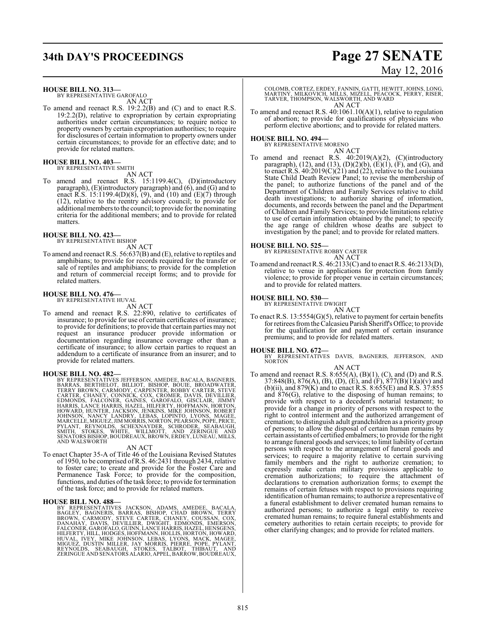## **34th DAY'S PROCEEDINGS Page 27 SENATE**

#### **HOUSE BILL NO. 313—**

BY REPRESENTATIVE GAROFALO AN ACT

To amend and reenact R.S. 19:2.2(B) and (C) and to enact R.S. 19:2.2(D), relative to expropriation by certain expropriating authorities under certain circumstances; to require notice to property owners by certain expropriation authorities; to require for disclosures of certain information to property owners under certain circumstances; to provide for an effective date; and to provide for related matters.

## **HOUSE BILL NO. 403—** BY REPRESENTATIVE SMITH

AN ACT

To amend and reenact R.S. 15:1199.4(C), (D)(introductory paragraph), (E)(introductory paragraph) and (6), and (G) and to enact R.S. 15:1199.4(D)(8), (9), and (10) and (E)(7) through (12), relative to the reentry advisory council; to provide for additional members to the council; to provide for the nominating criteria for the additional members; and to provide for related matters.

#### **HOUSE BILL NO. 423—**

BY REPRESENTATIVE BISHOP AN ACT

To amend and reenact R.S. 56:637(B) and (E), relative to reptiles and amphibians; to provide for records required for the transfer or sale of reptiles and amphibians; to provide for the completion and return of commercial receipt forms; and to provide for related matters.

#### **HOUSE BILL NO. 476—** BY REPRESENTATIVE HUVAL

AN ACT

To amend and reenact R.S. 22:890, relative to certificates of insurance; to provide for use of certain certificates of insurance; to provide for definitions; to provide that certain parties may not request an insurance producer provide information or documentation regarding insurance coverage other than a certificate of insurance; to allow certain parties to request an addendum to a certificate of insurance from an insurer; and to provide for related matters.

HOUSE BILL NO. 482—<br>BY REPRESENTATIVES JEFFERSON, AMEDEE, BACALA, BAGNERIS, BARRAS, BERTHELOT, BILLIOT, BISHOP, BOUIE, BROADWATER,<br>TERRY BROWN, CARMODY, CARPENTER, ROBBY CARTER, STEVE<br>CARTER, CHANEY, CONNICK, COX, CROMER,

#### AN ACT

To enact Chapter 35-A of Title 46 of the Louisiana Revised Statutes of 1950, to be comprised ofR.S. 46:2431 through 2434, relative to foster care; to create and provide for the Foster Care and Permanence Task Force; to provide for the composition, functions, and duties of the task force; to provide for termination of the task force; and to provide for related matters.

#### **HOUSE BILL NO. 488—**

BY REPRESENTATIVES JACKSON, ADAMS, AMEDEE, BACALA,<br>BAGLEY, BAGNERIS, BARRAS, BISHOP, CHAD BROWN, TERRY<br>BROWN, CARMODY, STEVE CARTER, CHAD BROWN, TERRY<br>DANAHAY, DAVIS, DEVILLIER, DWIGHT, EDMONDS, EMERSON,<br>FALCONER,GAROFALO,

# May 12, 2016

COLOMB, CORTEZ, ERDEY, FANNIN, GATTI, HEWITT, JOHNS, LONG, MARTINY, MILKOVICH, MILLS, MIZELL, PEACOCK, PERRY, RISER, TARVER, THOMPSON, WALSWORTH, AND WARD AN ACT

To amend and reenact R.S. 40:1061.10(A)(1), relative to regulation of abortion; to provide for qualifications of physicians who perform elective abortions; and to provide for related matters.

## **HOUSE BILL NO. 494—** BY REPRESENTATIVE MORENO

AN ACT To amend and reenact R.S. 40:2019(A)(2), (C)(introductory paragraph),  $(12)$ , and  $(13)$ ,  $(D)(2)(b)$ ,  $(E)(1)$ ,  $(F)$ , and  $(G)$ , and to enact R.S. 40:2019(C)(21) and (22), relative to the Louisiana State Child Death Review Panel; to revise the membership of the panel; to authorize functions of the panel and of the Department of Children and Family Services relative to child death investigations; to authorize sharing of information, documents, and records between the panel and the Department of Children and Family Services; to provide limitations relative to use of certain information obtained by the panel; to specify the age range of children whose deaths are subject to investigation by the panel; and to provide for related matters.

#### **HOUSE BILL NO. 525—**

BY REPRESENTATIVE ROBBY CARTER AN ACT

To amend and reenact R.S. 46:2133(C) and to enact R.S. 46:2133(D), relative to venue in applications for protection from family violence; to provide for proper venue in certain circumstances; and to provide for related matters.

## **HOUSE BILL NO. 530—** BY REPRESENTATIVE DWIGHT

AN ACT

To enact R.S. 13:5554(G)(5), relative to payment for certain benefits for retirees fromthe Calcasieu Parish Sheriff's Office; to provide for the qualification for and payment of certain insurance premiums; and to provide for related matters.

#### **HOUSE BILL NO. 672—**

BY REPRESENTATIVES DAVIS, BAGNERIS, JEFFERSON, AND NORTON

AN ACT

To amend and reenact R.S. 8:655(A), (B)(1), (C), and (D) and R.S. 37:848(B), 876(A), (B), (D), (E), and (F), 877(B)(1)(a)(v) and (b)(ii), and 879(K) and to enact R.S. 8:655(E) and R.S. 37:855 and 876(G), relative to the disposing of human remains; to provide with respect to a decedent's notarial testament; to provide for a change in priority of persons with respect to the right to control interment and the authorized arrangement of cremation; to distinguish adult grandchildren as a priority group of persons; to allow the disposal of certain human remains by certain assistants of certified embalmers; to provide for the right to arrange funeral goods and services; to limit liability of certain persons with respect to the arrangement of funeral goods and services; to require a majority relative to certain surviving family members and the right to authorize cremation; to expressly make certain military provisions applicable to cremation authorizations; to require the attachment of declarations to cremation authorization forms; to exempt the remains of certain fetuses with respect to provisions requiring identification of human remains; to authorize a representative of a funeral establishment to deliver cremated human remains to authorized persons; to authorize a legal entity to receive cremated human remains; to require funeral establishments and cemetery authorities to retain certain receipts; to provide for other clarifying changes; and to provide for related matters.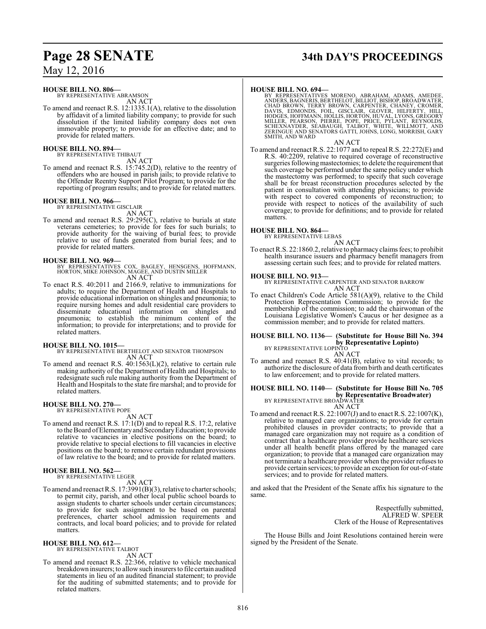#### **HOUSE BILL NO. 806—**

BY REPRESENTATIVE ABRAMSON AN ACT

To amend and reenact R.S. 12:1335.1(A), relative to the dissolution by affidavit of a limited liability company; to provide for such dissolution if the limited liability company does not own immovable property; to provide for an effective date; and to provide for related matters.

#### **HOUSE BILL NO. 894—** BY REPRESENTATIVE THIBAUT

AN ACT

To amend and reenact R.S. 15:745.2(D), relative to the reentry of offenders who are housed in parish jails; to provide relative to the Offender Reentry Support Pilot Program; to provide for the reporting of program results; and to provide for related matters.

#### **HOUSE BILL NO. 966—**

BY REPRESENTATIVE GISCLAIR AN ACT

To amend and reenact R.S. 29:295(C), relative to burials at state veterans cemeteries; to provide for fees for such burials; to provide authority for the waiving of burial fees; to provide relative to use of funds generated from burial fees; and to provide for related matters.

- **HOUSE BILL NO. 969—** BY REPRESENTATIVES COX, BAGLEY, HENSGENS, HOFFMANN, HORTON, MIKE JOHNSON, MAGEE, AND DUSTIN MILLER AN ACT
- To enact R.S. 40:2011 and 2166.9, relative to immunizations for adults; to require the Department of Health and Hospitals to provide educational information on shingles and pneumonia; to require nursing homes and adult residential care providers to disseminate educational information on shingles and pneumonia; to establish the minimum content of the information; to provide for interpretations; and to provide for related matters.

#### **HOUSE BILL NO. 1015—**

BY REPRESENTATIVE BERTHELOT AND SENATOR THOMPSON AN ACT

To amend and reenact R.S. 40:1563(L)(2), relative to certain rule making authority of the Department of Health and Hospitals; to redesignate such rule making authority from the Department of Health and Hospitals to the state fire marshal; and to provide for related matters.

#### **HOUSE BILL NO. 270—** BY REPRESENTATIVE POPE

AN ACT

To amend and reenact R.S. 17:1(D) and to repeal R.S. 17:2, relative to the Board ofElementaryand SecondaryEducation; to provide relative to vacancies in elective positions on the board; to provide relative to special elections to fill vacancies in elective positions on the board; to remove certain redundant provisions of law relative to the board; and to provide for related matters.

**HOUSE BILL NO. 562—** BY REPRESENTATIVE LEGER

AN ACT

To amend and reenact R.S. 17:3991(B)(3), relative to charter schools; to permit city, parish, and other local public school boards to assign students to charter schools under certain circumstances; to provide for such assignment to be based on parental preferences, charter school admission requirements and contracts, and local board policies; and to provide for related matters.

**HOUSE BILL NO. 612—**

BY REPRESENTATIVE TALBOT AN ACT

To amend and reenact R.S. 22:366, relative to vehicle mechanical breakdown insurers; to allow such insurers to file certain audited statements in lieu of an audited financial statement; to provide for the auditing of submitted statements; and to provide for related matters.

# **Page 28 SENATE 34th DAY'S PROCEEDINGS**

#### **HOUSE BILL NO. 694—**

BY REPRESENTATIVES MORENO, ABRAHAM, ADAMS, AMEDEE,<br>ANDERS,BAGNERIS,BERTHELOT,BILLOT,BISHOP,BROADWATER,<br>CHAD BROWN, TERRY BROWN, CARPENTER, CHANEY, CROMER,<br>DAVIS, EDMONDS, FOIL, GISCLAIR, GLOVER, HILFERTY, HILL<br>HODGES,HOFFM SMITH, AND WARD

#### AN ACT

To amend and reenact R.S. 22:1077 and to repeal R.S. 22:272(E) and R.S. 40:2209, relative to required coverage of reconstructive surgeries following mastectomies; to delete the requirement that such coverage be performed under the same policy under which the mastectomy was performed; to specify that such coverage shall be for breast reconstruction procedures selected by the patient in consultation with attending physicians; to provide with respect to covered components of reconstruction; to provide with respect to notices of the availability of such coverage; to provide for definitions; and to provide for related matters.

## **HOUSE BILL NO. 864—** BY REPRESENTATIVE LEBAS

AN ACT

To enact R.S. 22:1860.2, relative to pharmacy claims fees; to prohibit health insurance issuers and pharmacy benefit managers from assessing certain such fees; and to provide for related matters.

#### **HOUSE BILL NO. 913—**

BY REPRESENTATIVE CARPENTER AND SENATOR BARROW AN ACT

To enact Children's Code Article 581(A)(9), relative to the Child Protection Representation Commission; to provide for the membership of the commission; to add the chairwoman of the Louisiana Legislative Women's Caucus or her designee as a commission member; and to provide for related matters.

## **HOUSE BILL NO. 1136— (Substitute for House Bill No. 394 by Representative Lopinto)**<br>BY REPRESENTATIVE LOPINTO

AN ACT

To amend and reenact R.S. 40:41(B), relative to vital records; to authorize the disclosure of data from birth and death certificates to law enforcement; and to provide for related matters.

## **HOUSE BILL NO. 1140— (Substitute for House Bill No. 705**

**by Representative Broadwater)**<br>BY REPRESENTATIVE BROADWATER AN ACT

To amend and reenact R.S. 22:1007(J) and to enact R.S. 22:1007(K), relative to managed care organizations; to provide for certain prohibited clauses in provider contracts; to provide that a managed care organization may not require as a condition of contract that a healthcare provider provide healthcare services under all health benefit plans offered by the managed care organization; to provide that a managed care organization may not terminate a healthcare provider when the provider refuses to provide certain services; to provide an exception for out-of-state services; and to provide for related matters.

and asked that the President of the Senate affix his signature to the same.

> Respectfully submitted, ALFRED W. SPEER Clerk of the House of Representatives

The House Bills and Joint Resolutions contained herein were signed by the President of the Senate.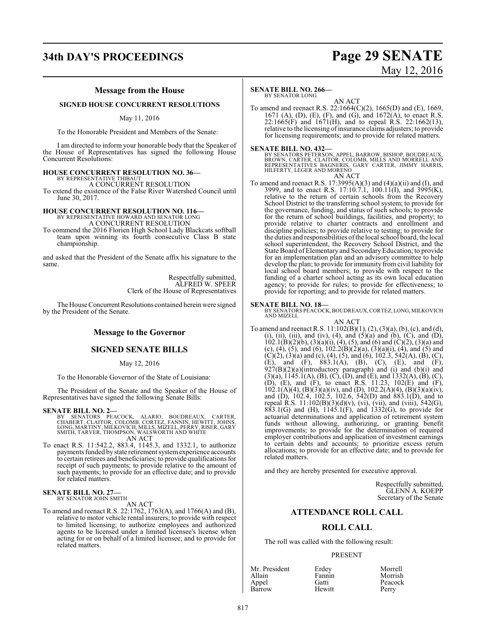## **34th DAY'S PROCEEDINGS Page 29 SENATE**

# May 12, 2016

### **Message from the House**

### **SIGNED HOUSE CONCURRENT RESOLUTIONS**

May 11, 2016

To the Honorable President and Members of the Senate:

I am directed to inform your honorable body that the Speaker of the House of Representatives has signed the following House Concurrent Resolutions:

#### **HOUSE CONCURRENT RESOLUTION NO. 36—**

BY REPRESENTATIVE THIBAU A CONCURRENT RESOLUTION

To extend the existence of the False River Watershed Council until June 30, 2017.

#### **HOUSE CONCURRENT RESOLUTION NO. 116—**

BY REPRESENTATIVE HOWARD AND SENATOR LONG A CONCURRENT RESOLUTION

To commend the 2016 Florien High School Lady Blackcats softball team upon winning its fourth consecutive Class B state championship.

and asked that the President of the Senate affix his signature to the same.

> Respectfully submitted, ALFRED W. SPEER Clerk of the House of Representatives

The House Concurrent Resolutions contained herein were signed by the President of the Senate.

#### **Message to the Governor**

#### **SIGNED SENATE BILLS**

May 12, 2016

To the Honorable Governor of the State of Louisiana:

The President of the Senate and the Speaker of the House of Representatives have signed the following Senate Bills:

#### **SENATE BILL NO. 2—**

- BY SENATORS PEACOCK, ALARIO, BOUDREAUX, CARTER,<br>CHABERT, CLAITOR, COLOMB, CORTEZ, FANNIN, HEWITT, JOHNS,<br>LONG,MARTINY,MILKOVICH,MILLS,MIZELL,PERRY,RISER,GARY<br>SMITH,TARVER,THOMPSON,WALSWORTHAND WHITE<br>AN ACT
- To enact R.S. 11:542.2, 883.4, 1145.3, and 1332.1, to authorize payments funded by state retirement systemexperience accounts to certain retirees and beneficiaries; to provide qualifications for receipt of such payments; to provide relative to the amount of such payments; to provide for an effective date; and to provide for related matters.

#### **SENATE BILL NO. 27—** BY SENATOR JOHN SMITH

AN ACT

To amend and reenact R.S. 22:1762, 1763(A), and 1766(A) and (B), relative to motor vehicle rental insurers; to provide with respect to limited licensing; to authorize employees and authorized agents to be licensed under a limited licensee's license when acting for or on behalf of a limited licensee; and to provide for related matters.

#### **SENATE BILL NO. 266—**

BY SENATOR LONG

AN ACT To amend and reenact R.S. 22:1664(C)(2), 1665(D) and (E), 1669, 1671 (A), (D), (E), (F), and (G), and 1672(A), to enact R.S. 22:1665(F) and 1671(H), and to repeal R.S. 22:1662(13), relative to the licensing of insurance claims adjusters; to provide for licensing requirements; and to provide for related matters.

#### **SENATE BILL NO. 432—**

BY SENATORS PETERSON, APPEL, BARROW, BISHOP, BOUDREAUX,<br>BROWN, CARTER, CLAITOR, COLOMB, MILLS AND MORRELL AND<br>REPRESENTATIVES BAGNERIS, GARY CARTER, JIMMY HARRIS,<br>HILFERTY, LEGER AND MORENO AN ACT

To amend and reenact R.S.  $17:3995(A)(3)$  and  $(4)(a)(ii)$  and  $(1),$  and  $(1),$ 3999, and to enact R.S. 17:10.7.1, 100.11(I), and 3995(K), relative to the return of certain schools from the Recovery School District to the transferring school system; to provide for the governance, funding, and status of such schools; to provide for the return of school buildings, facilities, and property; to provide relative to charter contracts and enrollment and discipline policies; to provide relative to testing; to provide for the duties and responsibilities ofthe local school board, the local school superintendent, the Recovery School District, and the State Board ofElementary and SecondaryEducation; to provide for an implementation plan and an advisory committee to help develop the plan; to provide forimmunity fromcivil liability for local school board members; to provide with respect to the funding of a charter school acting as its own local education agency; to provide for rules; to provide for effectiveness; to provide for reporting; and to provide for related matters.

**SENATE BILL NO. 18—**<br>BY SENATORS PEACOCK, BOUDREAUX, CORTEZ, LONG, MILKOVICH<br>AND MIZELL

AN ACT To amend and reenact R.S. 11:102(B)(1), (2), (3)(a), (b), (c), and (d), (i), (ii), (iii), and (iv), (4), and  $(5)(a)$  and  $(b)$ ,  $(C)$ , and  $(D)$ ,  $102.1(B)(2)(b)$ ,  $(3)(a)(i)$ ,  $(4)$ ,  $(5)$ , and  $(6)$  and  $(C)(2)$ ,  $(3)(a)$  and (c), (4), (5), and (6),  $102.2(B)(2)(a)$ ,  $(3)(a)(i)$ , (4), and (5) and  $(C)(2)$ ,  $(3)(a)$  and  $(c)$ ,  $(4)$ ,  $(5)$ , and  $(6)$ ,  $102.3$ ,  $542(A)$ ,  $(B)$ ,  $(C)$ , (E), and (F), 883.1(A), (B), (C), (E), and (F),  $927(B)(2)(a)$ (introductory paragraph) and (i) and (b)(i) and  $(3)(a)$ ,  $1145.1(A)$ ,  $(B)$ ,  $(C)$ ,  $(D)$ , and  $(E)$ , and  $1332(A)$ ,  $(B)$ ,  $(C)$ , (D), (E), and (F), to enact R.S. 11:23, 102(E) and (F),  $102.1(A)(4)$ ,  $(B)(3)(a)(iv)$ , and  $(D)$ ,  $102.2(A)(4)$ ,  $(B)(3)(a)(iv)$ , and (D), 102.4, 102.5, 102.6, 542(D) and 883.1(D), and to repeal R.S. 11:102(B)(3)(d)(v), (vi), (vii), and (viii), 542(G), 883.1(G) and (H), 1145.1(F), and 1332(G), to provide for actuarial determinations and application of retirement system funds without allowing, authorizing, or granting benefit improvements; to provide for the determination of required employer contributions and application of investment earnings to certain debts and accounts; to prioritize excess return allocations; to provide for an effective date; and to provide for related matters.

and they are hereby presented for executive approval.

Respectfully submitted, GLENN A. KOEPP Secretary of the Senate

#### **ATTENDANCE ROLL CALL**

#### **ROLL CALL**

The roll was called with the following result:

Fannin<br>Gatti

Hewitt

#### PRESENT

| Mr. Presider |
|--------------|
| Allain       |
| Appel        |
| Barrow       |

nt Erdey Morrell<br>
Fannin Morrish Peacock<br>Perry